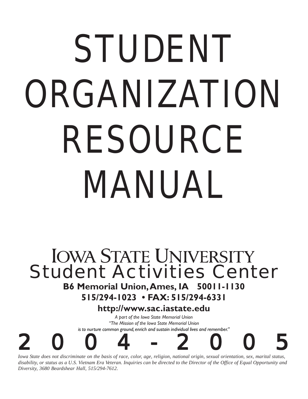# STUDENT ORGANIZATION RESOURCE MANUAL

# **IOWA STATE UNIVERSITY** *Student Activities Center*

## **B6 Memorial Union, Ames, IA 50011-1130**

**515/294-1023 • FAX: 515/294-6331**

## **http://www.sac.iastate.edu**

*A part of the Iowa State Memorial Union "The Mission of the Iowa State Memorial Union is to nurture common ground, enrich and sustain individual lives and remember."*



*Iowa State does not discriminate on the basis of race, color, age, religion, national origin, sexual orientation, sex, marital status, disability, or status as a U.S. Vietnam Era Veteran. Inquiries can be directed to the Director of the Office of Equal Opportunity and Diversity, 3680 Beardshear Hall, 515/294-7612.*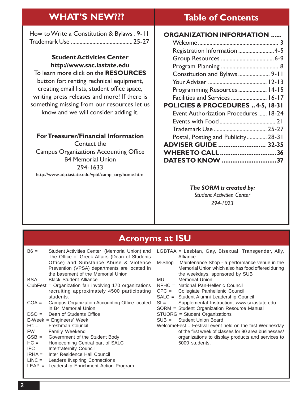#### **ORGANIZATION INFORMATION ......** Welcome ........................................................ 3 Registration Information .........................4-5 Group Resources .....................................6-9 Program Planning ........................................ 8 Constitution and Bylaws ...................... 9-11 Your Adviser ......................................... 12-13 Programming Resources .................... 14-15 Facilities and Services ......................... 16-17 **POLICIES & PROCEDURES ..4-5, 18-31** Event Authorization Procedures ...... 18-24 Events with Food....................................... 21 Trademark Use ..................................... 25-27 Postal, Posting and Publicity.............. 28-31 **ADVISER GUIDE ........................... 32-35 WHERE TO CALL................................36 DATES TO KNOW ...............................37 Table of Contents** How to Write a Constitution & Bylaws . 9-11 Trademark Use ........................................... 25-27 **Student Activities Center http://www.sac.iastate.edu** To learn more click on the **RESOURCES** button for: renting rechnical equipment, creating email lists, student office space, writing press releases and more! If there is something missing from our resources let us know and we will consider adding it. **For Treasurer/Financial Information** Contact the Campus Organizations Accounting Office B4 Memorial Union 294-1633 **WHAT'S NEW???**

## *The SORM is created by:*

*Student Activities Center 294-1023*

## **Acronyms at ISU**

B6 = Student Activities Center (Memorial Union) and The Office of Greek Affairs (Dean of Students Office) and Substance Abuse & Violence Prevention (VPSA) departments are located in the basement of the Memorial Union

http://www.adp.iastate.edu/vpbf/camp\_org/home.html

- BSA= Black Student Alliance
- ClubFest = Organization fair involving 170 organizations recruiting approximately 4500 participating students.
- COA = Campus Organization Accounting Office located in B4 Memorial Union
- DSO = Dean of Students Office
- E-Week = Engineers' Week
- FC = Freshman Council
- FW = Family Weekend
- GSB = Government of the Student Body
- HC = Homecoming Central part of SALC
- IFC = Interfraternity Council
- IRHA = Inter Residence Hall Council<br>LINC = Leaders INspiring Connection
- Leaders INspiring Connections
- LEAP = Leadership Enrichment Action Program
- LGBTAA = Lesbian, Gay, Bisexual, Transgender, Ally, Alliance
- M-Shop = Maintenance Shop a performance venue in the Memorial Union which also has food offered during the weekdays, sponsored by SUB
- MU = Memorial Union
- NPHC = National Pan-Hellenic Council
- CPC = Collegiate Panhellenic Council
- SALC = Student Alumni Leadership Council
- SI = Supplemental Instruction, www.si.iastate.edu
- SORM = Student Organization Resource Manual
- STUORG = Student Organizations
- SUB = Student Union Board
- WelcomeFest = Festival event held on the first Wednesday of the first week of classes for 90 area businesses/ organizations to display products and services to 5000 students.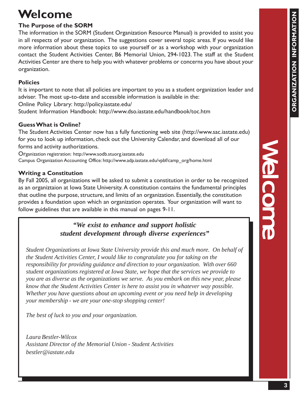# **Welcome**

## **The Purpose of the SORM**

The information in the SORM (Student Organization Resource Manual) is provided to assist you in all respects of your organization. The suggestions cover several topic areas. If you would like more information about these topics to use yourself or as a workshop with your organization contact the Student Activities Center, B6 Memorial Union, 294-1023. The staff at the Student Activities Center are there to help you with whatever problems or concerns you have about your organization.

## **Policies**

It is important to note that all policies are important to you as a student organization leader and adviser. The most up-to-date and accessible information is available in the:

Online Policy Library: http://policy.iastate.edu/

Student Information Handbook: http://www.dso.iastate.edu/handbook/toc.htm

## **Guess What is Online?**

The Student Activities Center now has a fully functioning web site (http://www.sac.iastate.edu) for you to look up information, check out the University Calendar, and download all of our forms and activity authorizations.

Organization registration: http://www.sodb.stuorg.iastate.edu Campus Organization Accounting Office: http://www.adp.iastate.edu/vpbf/camp\_org/home.html

## **Writing a Constitution**

By Fall 2005, all organizations will be asked to submit a constitution in order to be recognized as an organiztaion at Iowa State University. A constitution contains the fundamental principles that outline the purpose, structure, and limits of an organization. Essentially, the constitution provides a foundation upon which an organization operates. Your organization will want to follow guidelines that are available in this manual on pages 9-11.

## *"We exist to enhance and support holistic student development through diverse experiences"*

*Student Organizations at Iowa State University provide this and much more. On behalf of the Student Activities Center, I would like to congratulate you for taking on the responsibility for providing guidance and direction to your organization. With over 660 student organizations registered at Iowa State, we hope that the services we provide to you are as diverse as the organizations we serve. As you embark on this new year, please know that the Student Activities Center is here to assist you in whatever way possible. Whether you have questions about an upcoming event or you need help in developing your membership - we are your one-stop shopping center!*

*The best of luck to you and your organization.*

*Laura Bestler-Wilcox Assistant Director of the Memorial Union - Student Activities bestler@iastate.edu*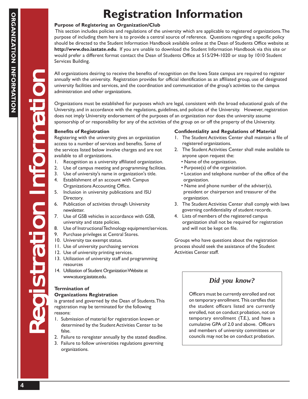# **Registration Information**

## **Purpose of Registering an Organization/Club**

 This section includes policies and regulations of the university which are applicable to registered organizations. The purpose of including them here is to provide a central source of reference. Questions regarding a specific policy should be directed to the Student Information Handbook available online at the Dean of Students Office website at **http://www.dso.iastate.edu**. If you are unable to download the Student Information Handbook via this site or would prefer a different format contact the Dean of Students Office at 515/294-1020 or stop by 1010 Student Services Building.

All organizations desiring to receive the benefits of recognition on the Iowa State campus are required to register annually with the university. Registration provides for official identification as an affiliated group, use of designated university facilities and services, and the coordination and communication of the group's activities to the campus administration and other organizations.

Organizations must be established for purposes which are legal, consistent with the broad educational goals of the University, and in accordance with the regulations, guidelines, and policies of the University. However, registration does not imply University endorsement of the purposes of an organization nor does the university assume sponsorship of or responsibility for any of the activities of the group on or off the property of the University.

## **Benefits of Registration**

Registering with the university gives an organization access to a number of services and benefits. Some of the services listed below involve charges and are not available to all organizations.

- 1. Recognition as a university affiliated organization.
- 2. Use of campus meeting and programming facilities.
- 3. Use of university's name in organization's title.
- 4. Establishment of an account with Campus Organizations Accounting Office.
- 5. Inclusion in university publications and ISU Directory.
- 6. Publication of activities through University newsletter.
- 7. Use of GSB vehicles in accordance with GSB, university and state policies.
- 8. Use of Instructional Technology equipment/services.
- 9. Purchase privileges at Central Stores.
- 10. University tax exempt status.
- 11. Use of university purchasing services
- 12. Use of university printing services.
- 13. Utilization of university staff and programming resources
- 14. Utilization of Student Organization Website at www.stuorg.iastate.edu.

## **Termination of**

## **Organizations Registration**

is granted and governed by the Dean of Students. This registration may be terminated for the following reasons:

- 1. Submission of material for registration known or determined by the Student Activities Center to be false.
- 2. Failure to reregister annually by the stated deadline.
- 3. Failure to follow universities regulations governing organizations.

## **Confidentiality and Regulations of Material**

- 1. The Student Activities Center shall maintain a file of registered organizations.
- 2. The Student Activities Center shall make available to anyone upon request the:
	- Name of the organization.
	- Purpose(s) of the organization.
	- Location and telephone number of the office of the organization.
	- Name and phone number of the adviser(s), president or chairperson and treasurer of the organization.
- 3. The Student Activities Center shall comply with laws governing confidentiality of student records.
- 4. Lists of members of the registered campus organization shall not be required for registration and will not be kept on file.

Groups who have questions about the registration process should seek the assistance of the Student Activities Center staff.

## *Did you know?*

Officers must be currently enrolled and not on temporary enrollment. This certifies that the student officers listed are currently enrolled, not on conduct probation, not on temporary enrollment (T.E.), and have a cumulative GPA of 2.0 and above. Officers and members of university committees or councils may not be on conduct probation.

Registration Information Registration Information Registration Information

FOR THE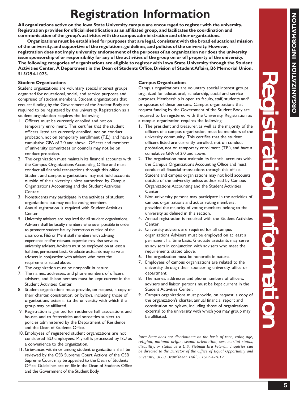Registration Information Registration Information Registration Information

Stration Information

# **Registration Information**

**All organizations active on the Iowa State University campus are encouraged to register with the university. Registration provides for official identification as an affiliated group, and facilitates the coordination and communication of the group's activities with the campus administration and other organizations.** 

**Organizations must be established for purposes that are legal, consistent with the broad educational mission of the university, and supportive of the regulations, guidelines, and policies of the university. However, registration does not imply university endorsement of the purposes of an organization nor does the university issue sponsorship of or responsibility for any of the activities of the group on or off property of the university. The following categories of organizations are eligible to register with Iowa State University through the Student Activities Center, A Department in the Dean of Students Office, Division of Student Affairs, B6 Memorial Union, 515/294-1023.**

#### **Student Organizations**

Student organizations are voluntary special interest groups organized for educational, social, and service purposes and comprised of student members. Student organizations that request funding by the Government of the Student Body are required to be registered by the university. Registration as a student organization requires the following:

- 1. Officers must be currently enrolled and not on temporary enrollment. This certifies that the student officers listed are currently enrolled, not on conduct probation, not on temporary enrollment (T.E.), and have a cumulative GPA of 2.0 and above. Officers and members of university committees or councils may not be on conduct probation.
- 2. The organization must maintain its financial accounts with the Campus Organizations Accounting Office and must conduct all financial transactions through this office. Student and campus organizations may not hold accounts outside of the university unless authorized by Campus Organizations Accounting and the Student Activities Center.
- 3. Nonstudents may participate in the activities of student organizations but may not be voting members.
- 4. Annual registration is required with Student Activities Center.
- 5. University advisers are required for all student organizations. Advisers shall be faculty members whenever possible in order to promote student-faculty interaction outside of the classroom. P&S or Merit staff members with advising experience and/or relevant expertise may also serve as university advisers. Advisers must be employed on at least a halftime, permanent basis. Graduate assistants may serve as advisers in conjunction with advisers who meet the requirements stated above.
- 6. The organization must be nonprofit in nature.
- 7. The names, addresses, and phone numbers of officers, advisers, and liaison persons must be kept current in the Student Activities Center.
- 8. Student organizations must provide, on request, a copy of their charter, constitution, or bylaws, including those of organizations external to the university with which the group may be affiliated.
- 9. Registration is granted for residence hall associations and houses and to fraternities and sororities subject to policies administered by the Department of Residence and the Dean of Students Office.
- 10. Employees of registered student organizations are not considered ISU employees. Payroll is processed by ISU as a convenience to the organization.
- 11. Grievances within or among student organizations shall be reviewed by the GSB Supreme Court. Actions of the GSB Supreme Court may be appealed to the Dean of Students Office. Guidelines are on file in the Dean of Students Office and the Government of the Student Body.

## **Campus Organizations**

Campus organizations are voluntary special interest groups organized for educational, scholarship, social and service purposes. Membership is open to faculty, staff, students and/ or spouses of these persons. Campus organizations that request funding by the Government of the Student Body are required to be registered with the University. Registration as a campus organization requires the following:

- 1. The president and treasurer, as well as the majority of the officers of a campus organization, must be members of the university community. This certifies that the student officers listed are currently enrolled, not on conduct probation, not on temporary enrollment (T.E.), and have a cumulative GPA of 2.0 and above.
- 2. The organization must maintain its financial accounts with the Campus Organizations Accounting Office and must conduct all financial transactions through this office. Student and campus organizations may not hold accounts outside of the university unless authorized by Campus Organizations Accounting and the Student Activities Center.
- 3. Non-university persons may participate in the activities of campus organizations and act as voting members , provided the majority of voting members belong to the university as defined in this section.
- 4. Annual registration is required with the Student Activities Center.
- 5. University advisers are required for all campus organizations. Advisers must be employed on at least a permanent halftime basis. Graduate assistants may serve as advisers in conjunction with advisers who meet the requirements stated above.
- 6. The organization must be nonprofit in nature.
- 7. Employees of campus organizations are related to the university through their sponsoring university office or department.
- 8. The names, addresses and phone numbers of officers, advisers and liaison persons must be kept current in the Student Activities Center.
- 9. Campus organizations must provide, on request, a copy of the organization's charter, annual financial report and constitution or bylaws, including those of organizations external to the university with which you may group may be affiliated.

*Iowa State does not discriminate on the basis of race, color, age, religion, national origin, sexual orientation, sex, marital status, disability, or status as a U.S. Vietnam Era Veteran. Inquiries can be directed to the Director of the Office of Equal Opportunity and Diversity, 3680 Beardshear Hall, 515/294-7612.*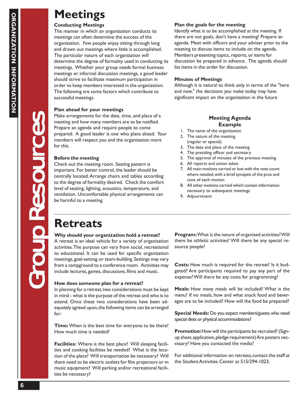# **Meetings**

## **Conducting Meetings**

The manner in which an organization conducts its meetings can often determine the success of the organization. Few people enjoy sitting through long and drawn out meetings where little is accomplished. The particular nature of each organization will determine the degree of formality used in conducting its meetings. Whether your group needs formal business meetings or informal discussion meetings, a good leader should strive to facilitate maximum participation in order to keep members interested in the organization. The following are some factors which contribute to successful meetings.

## **Plan ahead for your meetings**

Make arrangements for the date, time, and place of a meeting and how many members are to be notified. Prepare an agenda and require people to come prepared. A good leader is one who plans ahead. Your members will respect you and the organization more for this.

## **Before the meeting**

Before the meeting<br>
Check out the meeting<br>
important. For better co<br>
centrally located. Arrang<br>
to the degree of formali<br>
level of seating, lighting,<br>
ventilation. Uncomforta<br>
be harmful to a meeting<br>
be harmful to a meeti Check out the meeting room. Seating pattern is important. For better control, the leader should be centrally located. Arrange chairs and tables according to the degree of formality desired. Check the comfort level of seating, lighting, acoustics, temperature, and ventilation. Uncomfortable physical arrangements can be harmful to a meeting.

## **Plan the goals for the meeting**

Identify what is to be accomplished at the meeting. If there are not goals, don't have a meeting! Prepare an agenda. Meet with officers and your adviser prior to the meeting to discuss items to include on the agenda. Members presenting topics, reports, or items for discussion be prepared in advance. The agenda should list items in the order for discussion.

## **Minutes of Meetings**

Although it is natural to think only in terms of the "here and now," the decisions you make today may have significant impact on the organization in the future

## **Meeting Agenda Example**

- 1. The name of the organization
- 2. The nature of the meeting
- (regular or special)
- 3. The date and place of the meeting
- 4. The presiding officer and secretary
- 5. The approval of minutes of the previous meeting
- 6. All reports and action taken
- 7. All main motions carried or lost with the vote count where needed, with a brief synopsis of the pros and cons of each motion
- 8. All other motions carried which contain information necessary to subsequent meetings
- 9. Adjournment

### **Why should your organization hold a retreat?**

A retreat is an ideal vehicle for a variety of organization activities. The purpose can vary from social, recreational to educational. It can be used for specific organization meetings, goal-setting, or team-building. Settings may vary from a campground to a conference room. Activities may include lectures, games, discussions, films and music.

### **How does someone plan for a retreat?**

In planning for a retreat, two considerations must be kept in mind - what is the purpose of the retreat and who is to attend. Once these two considerations have been adequately agreed upon, the following items can be arranged for:

**Time:** When is the best time for everyone to be there? How much time is needed?

**Facilities:** Where is the best place? Will sleeping facilities and cooking facilities be needed? What is the location of the place? Will transportation be necessary? Will there need to be electric outlets for film projectors or m music equipment? Will parking and/or recreational facilities be necessary?

**Program:** What is the nature of organized activities? Will there be athletic activities? Will there be any special resource people?

**Costs:** How much is required for the retreat? Is it budgeted? Are participants required to pay any part of the expense? Will there be any costs for programming?

**Meals:** How many meals will be included? What is the menu? If no meals, how and what snack food and beverages are to be included? How will the food be prepared?

**Special Needs:** Do you expect members/guests who need special diets or physical accommodations?

**Promotion:** How will the participants be recruited? (Signup sheet, application, pledge requirement) Are posters necessary? Have you contacted the media?

For additional information on retreats, contact the staff at the Student Activities Center at 515/294-1023.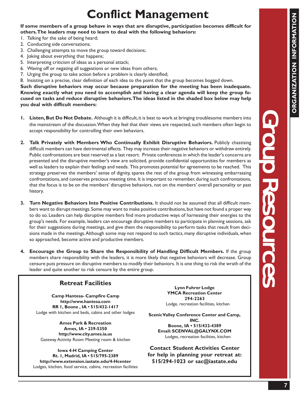# **Conflict Management**

**If some members of a group behave in ways that are disruptive, participation becomes difficult for others. The leaders may need to learn to deal with the following behaviors:**

- 1. Talking for the sake of being heard;
- 2. Conducting side conversations;
- 3. Challenging attempts to move the group toward decisions;
- 4. Joking about everything that happens;
- 5. Interpreting criticism of ideas as a personal attack;
- 6. Waving off or negating all suggestions or new ideas from others;
- 7. Urging the group to take action before a problem is clearly identified;

8. Insisting on a precise, clear definition of each idea to the point that the group becomes bogged down. **Such disruptive behaviors may occur because preparation for the meeting has been inadequate. Knowing exactly what you need to accomplish and having a clear agenda will keep the group focused on tasks and reduce disruptive behaviors. The ideas listed in the shaded box below may help**

**you deal with difficult members:**

- **1. Listen, But Do Not Debate.** Although it is difficult, it is best to work at bringing troublesome members into the mainstream of the discussion. When they feel that their views are respected, such members often begin to accept responsibility for controlling their own behaviors.
- **2. Talk Privately with Members Who Continually Exhibit Disruptive Behaviors.** Publicly chastising difficult members can have detrimental effects. They may increase their negative behaviors or withdraw entirely. Public confrontations are best reserved as a last resort. Private conferences in which the leader's concerns are presented and the disruptive member's view are solicited, provide confidential opportunities for members as well as leaders to explain their feelings and needs. This promotes potential for agreements to be reached. This strategy preserves the members' sense of dignity, spares the rest of the group from witnessing embarrassing confrontations, and conserves precious meeting time. It is important to remember, during such confrontations, that the focus is to be on the members' disruptive behaviors, not on the members' overall personality or past history.
- **3. Turn Negative Behaviors Into Positive Contributions.** It should not be assumed that all difficult members want to disrupt meetings. Some may want to make positive contributions, but have not found a proper way to do so. Leaders can help disruptive members find more productive ways of harnessing their energies to the group's needs. For example, leaders can encourage disruptive members to participate in planning sessions, ask for their suggestions during meetings, and give them the responsibility to perform tasks that result from decisions made in the meetings. Although some may not respond to such tactics, many disruptive individuals, when so approached, become active and productive members.
- **4. Encourage the Group to Share the Responsibility of Handling Difficult Members.** If the group members share responsibility with the leaders, it is more likely that negative behaviors will decrease. Group censure puts pressure on disruptive members to modify their behaviors. It is one thing to risk the wrath of the leader and quite another to risk censure by the entire group.

## **Retreat Facilities**

**Camp Hantesa- Campfire Camp http://www.hantesa.com RR 1, Boone , IA • 515/432-1417** Lodge with kitchen and beds, cabins and other lodges

**Ames Park & Recreation Ames, IA • 239-5350 http://www.city.ames.ia.us** Gateway Activity Room Meeting room & kitchen

**Iowa 4-H Camping Center Rt. 1, Madrid, IA • 515/795-2389 http://www.extension.iastate.edu/4-Hcenter** Lodges, kitchen, food service, cabins, recreation facilities

**Lynn Fuhrer Lodge YMCA Recreation Center 294-2263** Lodge, recreation facilities, kitchen

**Scenic Valley Conference Center and Camp, INC. Boone, IA • 515/432-4389 Email: SCENVAL@GALYNX.COM** Lodges, recreation facilities, kitchen

**Contact Student Activities Center for help in planning your retreat at: 515/294-1023 or sac@iastate.edu**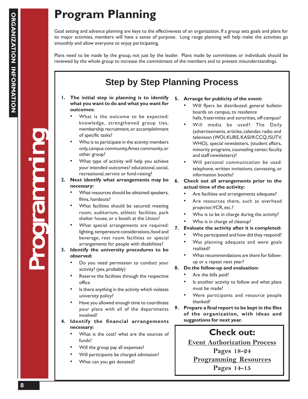# **Program Planning**

Goal setting and advance planning are keys to the effectiveness of an organization. If a group sets goals and plans for its major activities, members will have a sense of purpose. Long range planning will help make the activities go smoothly and allow everyone to enjoy participating.

Plans need to be made by the group, not just by the leader. Plans made by committees or individuals should be reviewed by the whole group to increase the commitment of the members and to prevent misunderstandings.

## **Step by Step Planning Process**

- **1. The initial step in planning is to identify what you want to do and what you want for outcomes:**
	- What is the outcome to be expected: knowledge, strengthened group ties, membership recruitment, or accomplishment of specific tasks?
	- Who is to participate in the activity: members only, campus community, Ames community, or other group?
	- What type of activity will help you achieve your intended outcomes? educational, social, recreational, service or fund-raising?
- **2. Next identify what arrangements may be necessary:**
	- What resources should be obtained: speakers, films, handouts?
	- What facilities should be secured: meeting room, auditorium, athletic facilities, park shelter house, or a booth at the Union?
	- What special arrangements are required: lighting, temperature considerations, food and beverage, rest room facilities or special arrangements for people with disabilities?
- **3. Identify the university procedures to be observed:**
	- Do you need permission to conduct your activity? (yes, probably)
	- Reserve the facilities through the respective office
	- Is there anything in the activity which violates university policy?
	- Have you allowed enough time to coordinate your plans with all of the departments involved?
- **4. Identify the financial arrangements necessary:**
	- What is the cost? what are the sources of funds?
	- Will the group pay all expenses?
	- Will participants be charged admission?
	- What can you get donated?

## **5. Arrange for publicity of the event:**

- Will flyers be distributed: general bulletin boards on campus, to residence halls, fraternities and sororities, off-campus?
- Will media be used?: The Daily (advertisements, articles, calendar, radio and television (WOI, KURE, KASI/KCCQ, ISUTV, WHO), special newsletters, (student affairs, minority programs, counseling center, faculty and staff newsletters)?
- Will personal communication be used: telephone, written invitations, canvassing, or information booths?
- **6. Check out all arrangements prior to the actual time of the activity:**
	- Are facilities and arrangements adequate?
	- Are resources there, such as overhead projector, VCR, etc.?
	- Who is to be in charge during the activity?
	- Who is in charge of cleanup?
- **7. Evaluate the activity after it is completed:**
	- Who participated and how did they respond?
	- Was planning adequate and were goals realized?
	- What recommendations are there for followup or a repeat next year?
- **8. Do the follow-up and evaluation:**
	- Are the bills paid?
	- Is another activity to follow and what plans must be made?
	- Were participants and resource people thanked?
- **9. Prepare a final report to be kept in the files of the organization, with ideas and suggestions for next year.**

## **Check out:**

**Event Authorization Process**

**Pages 18-24**

**Programming Resources**

**Pages 14-15**

Programming

**ogramming**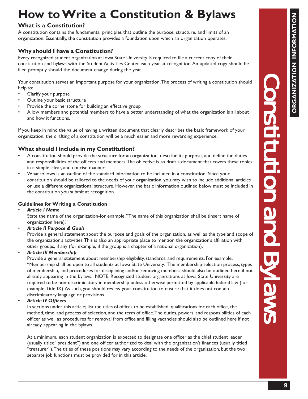## **How to write a Constitution & Byla**<br>Whiting Continuing **How to Write a Constitution & Bylaws**

## **What is a Constitution?**

A constitution contains the fundamental principles that outline the purpose, structure, and limits of an organization. Essentially, the constitution provides a foundation upon which an organization operates.

## **Why should I have a Constitution?**

Every recognized student organization at Iowa State University is required to file a current copy of their constitution and bylaws with the Student Activities Center each year at recognition. An updated copy should be filed promptly should the document change during the year.

Your constitution serves an important purpose for your organization. The process of writing a constitution should help to:

- Clarify your purpose
- Outline your basic structure
- Provide the cornerstone for building an effective group
- Allow members and potential members to have a better understanding of what the organization is all about and how it functions.

If you keep in mind the value of having a written document that clearly describes the basic framework of your organization, the drafting of a constitution will be a much easier and more rewarding experience.

## **What should I include in my Constitution?**

- A constitution should provide the structure for an organization, describe its purpose, and define the duties and responsibilities of the officers and members. The objective is to draft a document that covers these topics in a simple, clear, and concise manner.
- What follows is an outline of the standard information to be included in a constitution. Since your constitution should be tailored to the needs of your organization, you may wish to include additional articles or use a different organizational structure. However, the basic information outlined below must be included in the constitution you submit at recognition.

## **Guidelines for Writing a Constitution**

• *Article I Name*

State the name of the organization-for example, "The name of this organization shall be (insert name of organization here)."

• *Article II Purpose & Goals*

Provide a general statement about the purpose and goals of the organization, as well as the type and scope of the organization's activities. This is also an appropriate place to mention the organization's affiliation with other groups, if any (for example, if the group is a chapter of a national organization).

• *Article III Membership*

Provide a general statement about membership eligibility, standards, and requirements. For example, "Membership shall be open to all students at Iowa State University." The membership selection process, types of membership, and procedures for disciplining and/or removing members should also be outlined here if not already appearing in the bylaws. NOTE: Recognized student organizations at Iowa State University are required to be non-discriminatory in membership unless otherwise permitted by applicable federal law (for example, Title IX). As such, you should review your constitution to ensure that it does not contain discriminatory language or provisions.

• *Article IV Officers*

In sections under this article; list the titles of offices to be established, qualifications for each office, the method, time, and process of selection, and the term of office. The duties, powers, and responsibilities of each officer as well as procedures for removal from office and filling vacancies should also be outlined here if not already appearing in the bylaws.

At a minimum, each student organization is expected to designate one officer as the chief student leader (usually titled "president") and one officer authorized to deal with the organization's finances (usually titled "treasurer"). The titles of these positions may vary according to the needs of the organization, but the two separate job functions must be provided for in this article.

Constitution and Bylaws Constitution and Bylaws Constitution and Bylaws

**Constitution and Bylaws**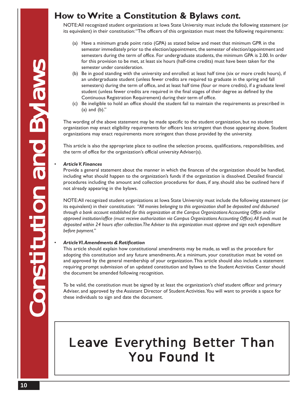## **How to Write a Constitution & Bylaws** *cont.*

NOTE: All recognized student organizations at Iowa State University must include the following statement (or its equivalent) in their constitution: "The officers of this organization must meet the following requirements:

- (a) Have a minimum grade point ratio (GPA) as stated below and meet that minimum GPR in the semester immediately prior to the election/appointment, the semester of election/appointment and semesters during the term of office. For undergraduate students, the minimum GPA is 2.00. In order for this provision to be met, at least six hours (half-time credits) must have been taken for the semester under consideration.
- (b) Be in good standing with the university and enrolled: at least half time (six or more credit hours), if an undergraduate student (unless fewer credits are required to graduate in the spring and fall semesters) during the term of office, and at least half time (four or more credits), if a graduate level student (unless fewer credits are required in the final stages of their degree as defined by the Continuous Registration Requirement) during their term of office.
- (c) Be ineligible to hold an office should the student fail to maintain the requirements as prescribed in (a) and  $(b)$ ."

The wording of the above statement may be made specific to the student organization, but no student organization may enact eligibility requirements for officers less stringent than those appearing above. Student organizations may enact requirements more stringent than those provided by the university.

This article is also the appropriate place to outline the selection process, qualifications, responsibilities, and the term of office for the organization's official university Adviser(s).

## • *Article V. Finances*

Provide a general statement about the manner in which the finances of the organization should be handled, including what should happen to the organization's funds if the organization is dissolved. Detailed financial procedures including the amount and collection procedures for dues, if any, should also be outlined here if not already appearing in the bylaws.

NOTE: All recognized student organizations at Iowa State University must include the following statement (or its equivalent) in their constitution: *"All monies belonging to this organization shall be deposited and disbursed through a bank account established for this organization at the Campus Organizations Accounting Office and/or approved institution/office (must receive authorization via Campus Organizations Accounting Office). All funds must be deposited within 24 hours after collection. The Adviser to this organization must approve and sign each expenditure before payment."*

### • *Article VI. Amendments & Ratification*

This article should explain how constitutional amendments may be made, as well as the procedure for adopting this constitution and any future amendments. At a minimum, your constitution must be voted on and approved by the general membership of your organization. This article should also include a statement requiring prompt submission of an updated constitution and bylaws to the Student Activities Center should the document be amended following recognition.

To be valid, the constitution must be signed by at least the organization's chief student officer and primary Adviser, and approved by the Assistant Director of Student Activities. You will want to provide a space for these individuals to sign and date the document.

# Leave Everything Better Than **You Found It**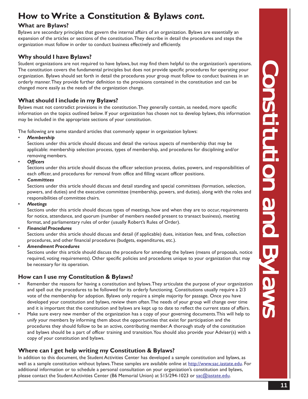## **How to Write a Constitution & Bylaws** *cont.*

## **What are Bylaws?**

Bylaws are secondary principles that govern the internal affairs of an organization. Bylaws are essentially an expansion of the articles or sections of the constitution. They describe in detail the procedures and steps the organization must follow in order to conduct business effectively and efficiently.

## **Why should I have Bylaws?**

Student organizations are not required to have bylaws, but may find them helpful to the organization's operations. The constitution covers the fundamental principles but does not provide specific procedures for operating your organization. Bylaws should set forth in detail the procedures your group must follow to conduct business in an orderly manner. They provide further definition to the provisions contained in the constitution and can be changed more easily as the needs of the organization change.

## **What should I include in my Bylaws?**

Bylaws must not contradict provisions in the constitution. They generally contain, as needed, more specific information on the topics outlined below. If your organization has chosen not to develop bylaws, this information may be included in the appropriate sections of your constitution.

The following are some standard articles that commonly appear in organization bylaws:

• *Membership*

Sections under this article should discuss and detail the various aspects of membership that may be applicable: membership selection process, types of membership, and procedures for disciplining and/or removing members.

• *Officers*

Sections under this article should discuss the officer selection process, duties, powers, and responsibilities of each officer, and procedures for removal from office and filling vacant officer positions.

• *Committees*

Sections under this article should discuss and detail standing and special committees (formation, selection, powers, and duties) and the executive committee (membership, powers, and duties), along with the roles and responsibilities of committee chairs.

• *Meetings*

Sections under this article should discuss types of meetings, how and when they are to occur, requirements for notice, attendance, and quorum (number of members needed present to transact business), meeting format, and parliamentary rules of order (usually Robert's Rules of Order).

• *Financial Procedures*

Sections under this article should discuss and detail (if applicable) dues, initiation fees, and fines, collection procedures, and other financial procedures (budgets, expenditures, etc.).

• *Amendment Procedures*

Sections under this article should discuss the procedure for amending the bylaws (means of proposals, notice required, voting requirements). Other specific policies and procedures unique to your organization that may be necessary for its operation.

## **How can I use my Constitution & Bylaws?**

- Remember the reasons for having a constitution and bylaws. They articulate the purpose of your organization and spell out the procedures to be followed for its orderly functioning. Constitutions usually require a 2/3 vote of the membership for adoption. Bylaws only require a simple majority for passage. Once you have developed your constitution and bylaws, review them often. The needs of your group will change over time and it is important that the constitution and bylaws are kept up to date to reflect the current state of affairs.
- Make sure every new member of the organization has a copy of your governing documents. This will help to unify your members by informing them about the opportunities that exist for participation and the procedures they should follow to be an active, contributing member. A thorough study of the constitution and bylaws should be a part of officer training and transition. You should also provide your Adviser(s) with a copy of your constitution and bylaws.

## **Where can I get help writing my Constitution & Bylaws?**

In addition to this document, the Student Activities Center has developed a sample constitution and bylaws, as well as a sample constitution without bylaws. These samples are available online at http://www.sac.iastate.edu. For additional information or to schedule a personal consultation on your organization's constitution and bylaws, please contact the Student Activities Center (B6 Memorial Union) at 515/294-1023 or sac@iastate.edu.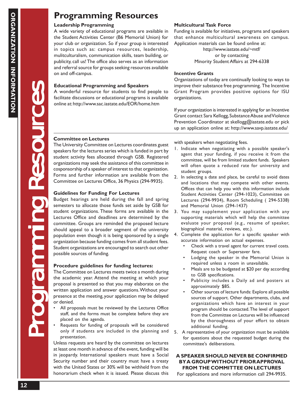## **Programming Resources**

## **Leadership Programming**

A wide variety of educational programs are available in the Student Activities Center (B6 Memorial Union) for your club or organization. So if your group is interested in topics such as: campus resources, leadership, mulitculturalism, communication skills, team building, or publicity, call us! The office also serves as an information and referral source for groups seeking resources available on and off-campus.

## **Educational Programming and Speakers**

A wonderful resource for students to find people to facilitate discussions or educational programs is available online at: http://www.sac.iastate.edu/EOR/home.htm

## **Multicultural Task Force**

Funding is available for initiatives, programs and speakers that enhance multicultural awareness on campus. Application materials can be found online at:

> http://www.iastate.edu/~mtf/ or by contacting Minority Student Affairs at 294-6338

## **Incentive Grants**

Organizations of today are continually looking to ways to improve their substance free programming. The Incentive Grant Program provides positive options for ISU organizations.

If your organization is interested in applying for an Incentive Grant contact Sara Kellogg, Substance Abuse and Violence Prevention Coordinator at skellogg@iastate.edu or pick up an application online at: http://www.savp.iastate.edu/

## **Committee on Lectures**

The University Committee on Lectures coordinates guest speakers for the lectures series which is funded in part by student activity fees allocated through GSB. Registered organizations may seek the assistance of this committee in cosponsorship of a speaker of interest to that organization. Forms and further information are available from the Committee on Lectures Office, 36 Physics (294-9935).

### **Guidelines for Funding For Lectures**

Budget hearings are held during the fall and spring semesters to allocate those funds set aside by GSB for student organizations. These forms are available in the Lectures Office and deadlines are determined by the committee. Groups are reminded the proposed lecture should appeal to a broader segment of the university population even though it is being sponsored by a single organization because funding comes from all student fees. Student organizations are encouraged to search out other possible sources of funding.

### **Procedure guidelines for funding lectures:**

The Committee on Lectures meets twice a month during the academic year. Attend the meeting at which your proposal is presented so that you may elaborate on the written application and answer questions. Without your presence at the meeting, your application may be delayed or denied.

- All proposals must be reviewed by the Lectures Office staff, and the forms must be complete before they are placed on the agenda.
- Requests for funding of proposals will be considered only if students are included in the planning and presentation.

Unless requests are heard by the committee on lectures at least one month in advance of the event, funding will be in jeopardy. International speakers must have a Social Security number and their country must have a treaty with the United States or 30% will be withheld from the honorarium check when it is issued. Please discuss this with speakers when negotiating fees.

- 1. Indicate when negotiating with a possible speaker's agent that your funding, if you receive it from the committee, will be from limited student funds. Speakers will often quote a reduced rate for university and student groups.
- 2. In selecting a date and place, be careful to avoid dates and locations that may compete with other events. Offices that can help you with this information include Student Activities Center (294-1023), Committee on Lectures (294-9934), Room Scheduling ( 294-5338) and Memorial Union (294-1437)
- 3. You may supplement your application with any supporting materials which will help the committee evaluate your proposal (e.g., resume of speaker, biographical material, reviews, etc.).
- 4. Complete the application for a specific speaker with accurate information on actual expenses.
	- Check with a travel agent for current travel costs. Request coach or Supersaver fare.
	- Lodging the speaker in the Memorial Union is required unless a room in unavailable.
	- Meals are to be budgeted at \$20 per day according to GSB specifications.
	- Publicity includes a Daily ad and posters at approximately \$85.
	- Other sources of lecture funds: Explore all possible sources of support. Other departments, clubs, and organizations which have an interest in your program should be contacted. The level of support from the Committee on Lectures will be influenced by the thoroughness of your effort to obtain additional funding.
- 5. A representative of your organization must be available for questions about the requested budget during the committee's deliberations.

## **A SPEAKER SHOULD NEVER BE CONFIRMED BY A GROUP WITHOUT PRIOR APPROVAL FROM THE COMMITTEE ON LECTURES**

For applications and more information call 294-9935.

HOLD

 $\frac{1}{\epsilon}$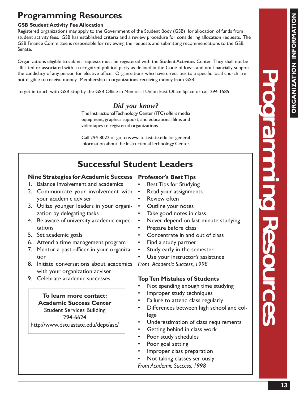## **Programming Resources**

## **GSB Student Activity Fee Allocation**

.

Registered organizations may apply to the Government of the Student Body (GSB) for allocation of funds from student activity fees. GSB has established criteria and a review procedure for considering allocation requests. The GSB Finance Committee is responsible for reviewing the requests and submitting recommendations to the GSB Senate.

Organizations eligible to submit requests must be registered with the Student Activities Center. They shall not be affiliated or associated with a recognized political party as defined in the Code of Iowa, and not financially support the candidacy of any person for elective office. Organizations who have direct ties to a specific local church are not eligible to receive money. Membership in organizations receiving money from GSB.

To get in touch with GSB stop by the GSB Office in Memorial Union East Office Space or call 294-1585.

## *Did you know?*

The Instructional Technology Center (ITC) offers media equipment, graphics support, and educational films and videotapes to registered organizations.

Call 294-8022 or go to www.itc.iastate.edu for general information about the Instructional Technology Center.

## **Successful Student Leaders**

## **Nine Strategies for Academic Success Professor's Best Tips**

- 1. Balance involvement and academics
- 2. Communicate your involvement with your academic adviser
- 3. Utilize younger leaders in your organization by delegating tasks
- 4. Be aware of university academic expectations
- 5. Set academic goals
- 6. Attend a time management program
- 7. Mentor a past officer in your organization
- 8. Initiate conversations about academics *From Academic Success, 1998* with your organization adviser
- 9. Celebrate academic successes

**To learn more contact: Academic Success Center** Student Services Building 294-6624 http://www.dso.iastate.edu/dept/asc/

- Best Tips for Studying
- Read your assignments
- **Review often**
- Outline your notes
- Take good notes in class
- Never depend on last minute studying
- Prepare before class
- Concentrate in and out of class
- Find a study partner
- Study early in the semester

Use your instructor's assistance

## **Top Ten Mistakes of Students**

- Not spending enough time studying
- Improper study techniques
- Failure to attend class regularly
- Differences between high school and college
- Underestimation of class requirements
- Getting behind in class work
- Poor study schedules
- Poor goal setting
- Improper class preparation
- Not taking classes seriously
- *From Academic Success, 1998*

**ORGANIZATION INFORMATION**

ORGANIZATION INFORMATI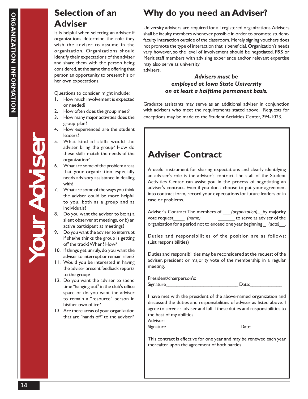## **Selection of an Adviser**

It is helpful when selecting an adviser if organizations determine the role they wish the adviser to assume in the organization. Organizations should identify their expectations of the adviser and share them with the person being considered, at the same time offering that person an opportunity to present his or her own expectations.

Questions to consider might include:

- 1. How much involvement is expected or needed?
- 2. How often does the group meet?
- 3. How many major activities does the group plan?
- 4. How experienced are the student leaders?
- 5. What kind of skills would the adviser bring the group? How do these skills match the needs of the organization?
- 6. What are some of the problem areas that your organization especially needs advisory assistance in dealing with?
- 7. What are some of the ways you think the adviser could be more helpful to you, both as a group and as individuals?
- 8. Do you want the adviser to be: a) a silent observer at meetings, or b) an active participant at meetings?
- 9. Do you want the adviser to interrupt if she/he thinks the group is getting off the track? When? How?
- 10. If things get unruly, do you want the adviser to interrupt or remain silent?
- 11. Would you be interested in having the adviser present feedback reports to the group?
- 12. Do you want the adviser to spend time "hanging out" in the club's office space or do you want the adviser to remain a "resource" person in his/her own office?
- 13. Are there areas of your organization that are "hands off" to the adviser?

## **Why do you need an Adviser?**

University advisers are required for all registered organizations. Advisers shall be faculty members whenever possible in order to promote studentfaculty interaction outside of the classroom. Merely signing vouchers does not promote the type of interaction that is beneficial. Organization's needs vary however, so the level of involvement should be negotiated. P&S or Merit staff members with advising experience and/or relevant expertise may also serve as university advisers.

## *Advisers must be employed at Iowa State University on at least a halftime permanent basis.*

Graduate assistants may serve as an additional adviser in conjunction with advisers who meet the requirements stated above. Requests for exceptions may be made to the Student Activities Center, 294-1023.

## **Adviser Contract**

A useful instrument for sharing expectations and clearly identifying an adviser's role is the adviser's contract. The staff of the Student Activities Center can assist you in the process of negotiating an adviser's contract. Even if you don't choose to put your agreement into contract form, record your expectations for future leaders or in case or problems.

Adviser's Contract The members of \_\_\_*(organization)\_*\_by majority vote request\_\_\_\_*\_(name)\_\_\_\_\_\_\_*\_\_\_\_\_\_ to serve as adviser of the organization for a period not to exceed one year beginning \_*\_(date)*\_\_.

Duties and responsibilities of the position are as follows: (List responsibilities)

Duties and responsibilities may be reconsidered at the request of the adviser, president or majority vote of the membership in a regular meeting.

President/chairperson's: Signature Date:

I have met with the president of the above-named organization and discussed the duties and responsibilities of adviser as listed above. I agree to serve as adviser and fulfill these duties and responsibilities to the best of my abilities. Adviser:

Signature Date:

This contract is effective for one year and may be renewed each year thereafter upon the agreement of both parties.

Your Adviser

**UPACYS**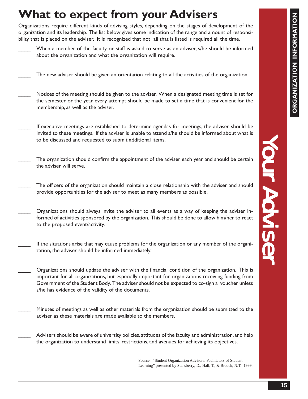# **What to expect from your Advisers**

Organizations require different kinds of advising styles, depending on the stages of development of the organization and its leadership. The list below gives some indication of the range and amount of responsibility that is placed on the adviser. It is recognized that not all that is listed is required all the time.

- When a member of the faculty or staff is asked to serve as an adviser, s/he should be informed about the organization and what the organization will require.
- The new adviser should be given an orientation relating to all the activities of the organization.
- Notices of the meeting should be given to the adviser. When a designated meeting time is set for the semester or the year, every attempt should be made to set a time that is convenient for the membership, as well as the adviser.
- If executive meetings are established to determine agendas for meetings, the adviser should be invited to these meetings. If the adviser is unable to attend s/he should be informed about what is to be discussed and requested to submit additional items.
- The organization should confirm the appointment of the adviser each year and should be certain the adviser will serve.
- The officers of the organization should maintain a close relationship with the adviser and should provide opportunities for the adviser to meet as many members as possible.
- Organizations should always invite the adviser to all events as a way of keeping the adviser informed of activities sponsored by the organization. This should be done to allow him/her to react to the proposed event/activity.
- If the situations arise that may cause problems for the organization or any member of the organization, the adviser should be informed immediately.
- \_\_\_\_ Organizations should update the adviser with the financial condition of the organization. This is important for all organizations, but especially important for organizations receiving funding from Government of the Student Body. The adviser should not be expected to co-sign a voucher unless s/he has evidence of the validity of the documents.
	- Minutes of meetings as well as other materials from the organization should be submitted to the adviser as these materials are made available to the members.
	- Advisers should be aware of university policies, attitudes of the faculty and administration, and help the organization to understand limits, restrictions, and avenues for achieving its objectives.

Source: "Student Organization Advisors: Facilitators of Student Learning" presented by Stansberry, D., Hall, T., & Broeck, N.T. 1999.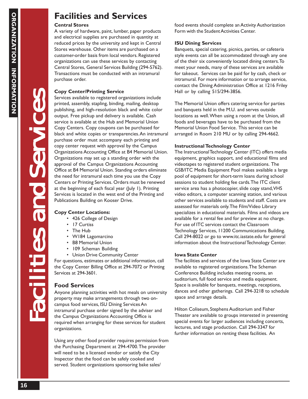## **Facilities and Services**

## **Central Stores**

A variety of hardware, paint, lumber, paper products and electrical supplies are purchased in quantity at reduced prices by the university and kept in Central Stores warehouse. Other items are purchased on a customer-order basis from local vendors. Registered organizations can use these services by contacting Central Stores, General Services Building (294-5762). Transactions must be conducted with an intramural purchase order.

## **Copy Center/Printing Service**

Services available to registered organizations include printed, assembly, stapling, binding, mailing, desktop publishing, and high-resolution black and white color output. Free pickup and delivery is available. Cash service is available at the Hub and Memorial Union Copy Centers. Copy coupons can be purchased for black and white copies or transparencies. An intramural purchase order must accompany each printing and copy center request with approval by the Campus Organizations Accounting Office at B4 Memorial Union. Organizations may set up a standing order with the approval of the Campus Organizations Accounting Office at B4 Memorial Union. Standing orders eliminate the need for intramural each time you use the Copy Centers or Printing Services. Orders must be renewed at the beginning of each fiscal year (July 1). Printing Services is located in the west end of the Printing and Publications Building on Kooser Drive.

## **Copy Center Locations:**

- 426 College of Design
- 17 Curtiss

Facilities and Ser Facilities and Ser Facilities and Services

JUNIOR

- The Hub
- W184 Lagomarcino
- B8 Memorial Union
- 109 Scheman Building
- Union Drive Community Center

For questions, estimates or additional information, call the Copy Center Billing Office at 294-7072 or Printing Services at 294-3601.

## **Food Services**

Anyone planning activities with hot meals on university property may make arrangements through two oncampus food services, ISU Dining Services An intramural purchase order signed by the adviser and the Campus Organizations Accounting Office is required when arranging for these services for student organizations.

Using any other food provider requires permission from the Purchasing Department at 294-4700. The provider will need to be a licensed vendor or satisfy the City Inspector that the food can be safely cooked and served. Student organizations sponsoring bake sales/

food events should complete an Activity Authorization Form with the Student Activities Center.

## **ISU Dining Services**

Banquets, special catering, picnics, parties, or cafeteria style events can all be accommodated through any one of the their six conveniently located dining centers. To meet your needs, many of these services are available for takeout. Services can be paid for by cash, check or intramural. For more information or to arrange service, contact the Dining Administration Office at 1216 Friley Hall or by calling 515/294-3856.

The Memorial Union offers catering service for parties and banquets held in the M.U. and serves outside locations as well. When using a room at the Union, all foods and beverages have to be purchased from the Memorial Union Food Service. This service can be arranged in Room 210 MU or by calling 294-4662.

## **Instructional Technology Center**

The Instructional Technology Center (ITC) offers media equipment, graphics support, and educational films and videotapes to registered student organizations. The GSB/ITC Media Equipment Pool makes available a large pool of equipment for short-term loans during school sessions to student holding fee cards. The ITC client service area has a photocopier, slide copy stand, VHS video editors, a computer scanning station, and various other services available to students and staff. Costs are assessed for materials only. The Film/Video Library specializes in educational materials. Films and videos are available for a rental fee and for preview at no charge. For use of ITC services contact the Classroom Technology Services, 11200 Communications Building. Call 294-8022 or go to www.itc.iastate.edu for general information about the Instructional Technology Center.

## **Iowa State Center**

The facilities and services of the Iowa State Center are available to registered organizations. The Scheman Conference Building includes meeting rooms, an auditorium, full food service and media equipment. Space is available for banquets, meetings, receptions, dances and other gatherings. Call 294-3218 to schedule space and arrange details.

Hilton Coliseum, Stephens Auditorium and Fisher Theater are available to groups interested in presenting special events for larger audiences including concerts, lectures, and stage production. Call 294-3347 for further information on renting these facilities. An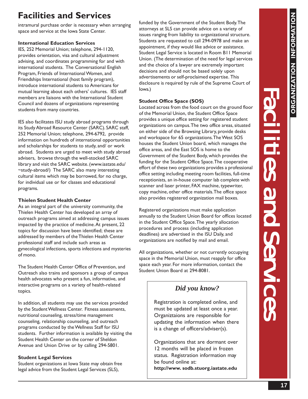# **ORGANIZATION INFORMATION** ORGANIZATION

# **Facilities and Services**

intramural purchase order is necessary when arranging space and service at the Iowa State Center.

## **International Education Services**

IES, 252 Memorial Union; telephone, 294-1120, provides orientation, visa and cultural adjustment advising, and coordinates programming for and with international students. The Conversational English Program, Friends of International Women, and Friendships International (host family program), introduce international students to Americans for mutual learning about each others' cultures. IES staff members are liaisons with the International Student Council and dozens of organizations representing students from many countries.

IES also facilitates ISU study abroad programs through its Study Abroad Resource Center (SARC). SARC staff, 252 Memorial Union; telephone, 294-6792, provide information on hundreds of international opportunities and scholarships for students to study, and/ or work abroad. Students are urged to meet with study abroad advisers, browse through the well-stocked SARC library and visit the SARC website. (www.iastate.edu/ ~study-abroad/) The SARC also many interesting cultural items which may be borrowed, for no charge, for individual use or for classes and educational programs.

## **Thielen Student Health Center**

As an integral part of the university community, the Thielen Health Center has developed an array of outreach programs aimed at addressing campus issues impacted by the practice of medicine. At present, 22 topics for discussion have been identified; these are addressed by members of the Thielen Health Center professional staff and include such areas as gynecological infections, sports infections and mysteries of mono.

The Student Health Center Office of Prevention, and Outreach also trains and sponsors a group of campus health advocates who present a fun, informative, and interactive programs on a variety of health-related topics.

In addition, all students may use the services provided by the Student Wellness Center. Fitness assessments, nutritional counseling, stress/time management counseling, relationship counseling, and outreach programs conducted by the Wellness Staff for ISU students. Further information is available by visiting the Student Health Center on the corner of Sheldon Avenue and Union Drive or by calling 294-5801.

## **Student Legal Services**

Student organizations at Iowa State may obtain free legal advice from the Student Legal Services (SLS),

funded by the Government of the Student Body. The attorneys at SLS can provide advice on a variety of issues ranging from liability to organizational structure. Students are requested to call 294-0978 and make an appointment, if they would like advice or assistance. Student Legal Service is located in Room B11 Memorial Union. (The determination of the need for legal services and the choice of a lawyer are extremely important decisions and should not be based solely upon advertisements or self-proclaimed expertise. This disclosure is required by rule of the Supreme Court of Iowa.)

## **Student Office Space (SOS)**

Located across from the food court on the ground floor of the Memorial Union, the Student Office Space provides a unique office setting for registered student organizations on campus. The two office areas, situated on either side of the Browsing Library, provide desks and workspace for 65 organizations. The West SOS houses the Student Union board, which manages the office areas, and the East SOS is home to the Government of the Student Body, which provides the funding for the Student Office Space. The cooperative effort of these two organizations provides a professional office setting including meeting room facilities, full-time receptionists, an in-house computer lab complete with scanner and laser printer, FAX machine, typewriter, copy machine, other office materials. The office space also provides registered organization mail boxes.

Registered organizations must make application annually to the Student Union Board for offices located in the Student Office Space. The yearly allocation procedures and process (including application deadlines) are advertised in the ISU Daily, and organizations are notified by mail and email.

All organizations, whether or not currently occupying space in the Memorial Union, must reapply for office space each year. For more information, contact the Student Union Board at 294-8081.

## *Did you know?*

Registration is completed online, and must be updated at least once a year. Organiztaions are responsible for updating the information when there is a change of officers/adviser(s).

Organizations that are dormant over 12 months will be placed in frozen status. Registration information may be found online at: **http://www. sodb.stuorg.iastate.edu**

Facilities and Ser Facilities and Ser Facilities and Services

Eties and Service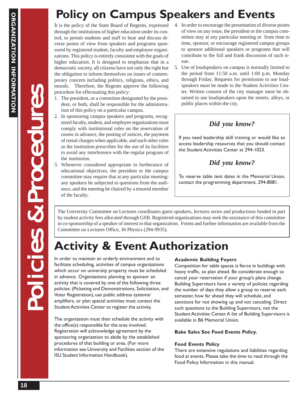# **Policy on Campus Speakers and Events**

It is the policy of the State Board of Regents, expressed through the institutions of higher education under its control, to permit students and staff to hear and discuss diverse points of view from speakers and programs sponsored by registered student, faculty and employee organizations. This policy is entirely consistent with the goals of higher education. It is designed to emphasize that in a democratic society, all citizens have not only the right but the obligation to inform themselves on issues of contemporary concern including politics, religions, ethics, and morals. Therefore, the Regents approve the following procedure for effectuating this policy:

- 1. The president, or a committee designated by the president, or both, shall be responsible for the administration of this policy on a particular campus.
- 2. In sponsoring campus speakers and programs, recognized faculty, student, and employee organizations must comply with institutional rules on the reservation of rooms in advance, the posting of notices, the payment of rental charges when applicable, and such other rules as the institution prescribes for the use of its facilities to avoid any interference with the regular program of the institution.
- 3. Whenever considered appropriate in furtherance of educational objectives, the president or the campus committee may require that at any particular meeting: any speakers be subjected to questions from the audience, and the meeting be chaired by a tenured member of the faculty.
- 4. In order to encourage the presentation of diverse points of view on any issue, the president or the campus committee may at any particular meeting or from time to time, sponsor, or encourage registered campus groups to sponsor additional speakers or programs that will contribute to the full and frank discussion of such issue.
- 5. Use of loudspeakers on campus is normally limited to the period from 11:50 a.m. until 1:00 p.m. Monday through Friday. Requests for permission to use loudspeakers must be made to the Student Activities Center. Written consent of the city manager must be obtained to use loudspeakers upon the streets, alleys, or public places within the city.

## *Did you know?*

If you need leadership skill training or would like to access leadership resources that you should contact the Student Activities Center at 294-1023.

## *Did you know?*

To reserve table tent dates in the Memorial Union, contact the programming department, 294-8081.

The University Committee on Lectures coordinates guest speakers, lectures series and productions funded in part by student activity fees allocated through GSB. Registered organizations may seek the assistance of this committee in co-sponsorship of a speaker of interest to that organization. Forms and further information are available from the Committee on Lectures Office, 36 Physics (294-9935).

# **Activity & Event Authorization**

In order to maintain an orderly environment and to facilitate scheduling, activities of campus organizations which occur on university property must be scheduled in advance. Organizations planning to sponsor an activity that is covered by one of the following three policies: (Picketing and Demonstrations, Solicitation, and Voter Registration), use public address systems/ amplifiers, or plan special activities must contact the Student Activities Center to register the activity.

The organization must then schedule the activity with the office(s) responsible for the area involved. Registration will acknowledge agreement by the sponsoring organization to abide by the established procedures of that building or area. (For more information see University and Facilities section of the ISU Student Information Handbook).

## **Academic Building Foyers**

Competition for table spaces is fierce in buildings with heavy traffic, so plan ahead. Be considerate enough to cancel your reservation if your group's plans change. Building Supervisors have a variety of policies regarding the number of days they allow a group to reserve each semester, how far ahead they will schedule, and sanctions for not showing up and not canceling. Direct such questions to the Building Supervisors, not the Student Activities Center. A list of Building Supervisors is available in B6 Memorial Union.

## **Bake Sales See Food Events Policy.**

## **Food Events Policy**

There are extensive regulations and liabilities regarding food at events. Please take the time to read through the Food Policy Information in this manual.

Policies & Procedures Policies & Procedures Policies & Procedures

upeacre seign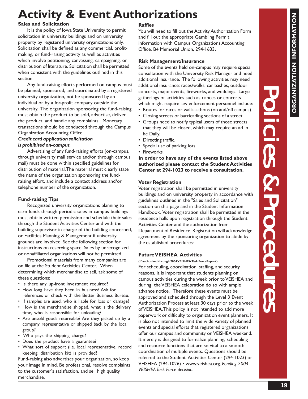# **Activity & Event Authorizations**

## **Sales and Solicitation**

It is the policy of Iowa State University to permit solicitation in university buildings and on university property by registered university organizations only. Solicitation shall be defined as any commercial, profitmaking, or fund-raising activity as well as activities which involve petitioning, canvassing, campaigning, or distribution of literature. Solicitation shall be permitted when consistent with the guidelines outlined in this section.

Any fund-raising efforts performed on campus must be planned, sponsored, and coordinated by a registered university organization, not be sponsored by an individual or by a for-profit company outside the university. The organization sponsoring the fund-raising must obtain the product to be sold, advertise, deliver the product, and handle any complaints. Monetary transactions should be conducted through the Campus Organization Accounting Office.

#### *Credit card application solicitation is prohibited on-campus.*

Advertising of any fund-raising efforts (on-campus, through university mail service and/or through campus mail) must be done within specified guidelines for distribution of material. The material must clearly state the name of the organization sponsoring the fundraising effort, and include a contact address and/or telephone number of the organization.

## **Fund-raising Tips**

Recognized university organizations planning to earn funds through periodic sales in campus buildings must obtain written permission and schedule their sales through the Student Activities Center and with the building supervisor in charge of the building concerned, or Facilities Planning & Management if university grounds are involved. See the following section for instructions on reserving space. Sales by unrecognized or nonaffiliated organizations will not be permitted.

Promotional materials from many companies are on file at the Student Activities Center. When determining which merchandise to sell, ask some of these questions:

- Is there any up-front investment required?
- How long have they been in business? Ask for references or check with the Better Business Bureau.
- If samples are used, who is liable for loss or damage?
- How is the merchandise shipped, what is the delivery time, who is responsible for unloading?
- Are unsold goods returnable? Are they picked up by a company representative or shipped back by the local group?
- Who pays the shipping charge?
- Does the product have a guarantee?
- What sort of support (i.e. local representative, record keeping, distribution kit) is provided?

Fund-raising also advertises your organization, so keep your image in mind. Be professional, resolve complaints to the customer's satisfaction, and sell high quality merchandise.

## **Raffles**

You will need to fill out the Activity Authorization Form and fill out the appropriate Gambling Permit information with Campus Organizations Accounting Office, B4 Memorial Union, 294-1633**.**

#### **Risk Management/Insurance**

Some of the events held on-campus may require special consultation with the University Risk Manager and need additional insurance. The following activities may need additional insurance: races/walks, car bashes, outdoor concerts, major events, fireworks, and weddings. Large gatherings or activities such as dances or concerts which might require law enforcement personnel include:

- Routes for races or walk-a-thons (on and/off campus).
- Closing streets or barricading sections of a street.
- Groups need to notify typical users of those streets that they will be closed, which may require an ad in he Daily.
- Directing traffic.
- Special use of parking lots.
- Fireworks.

**In order to have any of the events listed above authorized please contact the Student Activities Center at 294-1023 to receive a consultation.**

### **Voter Registration**

Voter registration shall be permitted in university buildings and on university property in accordance with guidelines outlined in the "Sales and Solicitation" section on this page and in the Student Information Handbook. Voter registration shall be permitted in the residence halls upon registration through the Student Activities Center and the authorization from Department of Residence. Registration will acknowledge agreement by the sponsoring organization to abide by the established procedures:

### **Future VEISHEA Activities**

**(If authorized through 2004 VEISHEA Task ForceReport)**

For scheduling, coordination, staffing, and security reasons, it is important that students planning on campus activities during the week prior to VEISHEA and during the VEISHEA celebration do so with ample advance notice. Therefore these events must be approved and scheduled through the Level 3 Event Authorization Process at least 30 days prior to the week of VEISHEA. This policy is not intended to add more paperwork or difficulty to organization event planners. It is also not intended to limit the wide variety of planned events and special efforts that registered organizations offer our campus and community on VEISHEA weekend. It merely is designed to formalize planning, scheduling and resource functions that are so vital to a smooth coordination of multiple events. Questions should be referred to the Student Activities Center (294-1023) or VEISHEA (294-1026) • www.veishea.org. *Pending 2004 VEISHEA Task Force decision.*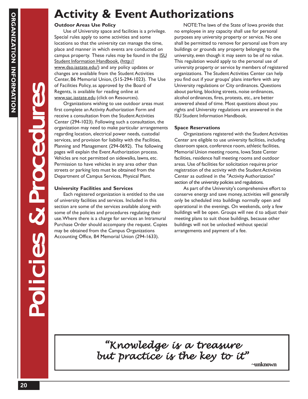# **Activity & Event Authorizations**

## **Outdoor Areas Use Policy**

Use of University space and facilities is a privilege. Special rules apply to some activities and some locations so that the university can manage the time, place and manner in which events are conducted on campus property. These rules may be found in the ISU Student Information Handbook, (http:// www.dso.iastate.edu/) and any policy updates or changes are available from the Student Activities Center, B6 Memorial Union, (515-294-1023). The Use of Facilities Policy, as approved by the Board of Regents, is available for reading online at www.sac.iastate.edu (click on Resources).

Organizations wishing to use outdoor areas must first complete an Activity Authorization Form and receive a consultation from the Student Activities Center (294-1023). Following such a consultation, the organization may need to make particular arrangements regarding location, electrical power needs, custodial services, and provision for liability with the Facilities, Planning and Management (294-0692). The following pages will explain the Event Authorization process. Vehicles are not permitted on sidewalks, lawns, etc. Permission to have vehicles in any area other than streets or parking lots must be obtained from the Department of Campus Services, Physical Plant.

## **University Facilities and Services**

Each registered organization is entitled to the use of university facilities and services. Included in this section are some of the services available along with some of the policies and procedures regulating their use. Where there is a charge for services an Intramural Purchase Order should accompany the request. Copies may be obtained from the Campus Organizations Accounting Office, B4 Memorial Union (294-1633).

NOTE: The laws of the State of Iowa provide that no employee in any capacity shall use for personal purposes any university property or service. No one shall be permitted to remove for personal use from any buildings or grounds any property belonging to the university, even though it may seem to be of no value. This regulation would apply to the personal use of university property or service by members of registered organizations. The Student Activities Center can help you find out if your groups' plans interfere with any University regulations or City ordinances. Questions about parking, blocking streets, noise ordinances, alcohol ordinances, fires, protests, etc., are better answered ahead of time. Most questions about you rights and University regulations are answered in the ISU Student Information Handbook.

## **Space Reservations**

Organizations registered with the Student Activities Center are eligible to use university facilities, including classroom space, conference room, athletic facilities, Memorial Union meeting rooms, Iowa State Center facilities, residence hall meeting rooms and outdoor areas. Use of facilities for solicitation requires prior registration of the activity with the Student Activities Center as outlined in the "Activity Authorization" section of the university policies and regulations.

As part of the University's comprehensive effort to conserve energy and save money, activities will generally only be scheduled into buildings normally open and operational in the evenings. On weekends, only a few buildings will be open. Groups will nee d to adjust their meeting plans to suit those buildings, because other buildings will not be unlocked without special arrangements and payment of a fee.

*"Knowledge is a treasure "Knowledge is a treasure but practice is the key to it" but is the to it"***~unknown**

Policies & Procedures Policies & Procedures Policies & Procedures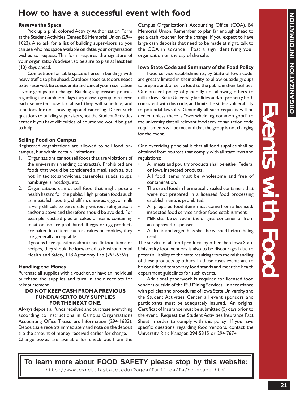Events with Food Events with Food with Food

Nents Mith Foo

## **How to have a successful event with food**

#### **Reserve the Space**

Pick up a pink colored Activity Authorization Form at the Student Activities Center, B6 Memorial Union (294- 1023). Also ask for a list of building supervisors so you can see who has space available on dates your organization wishes to request. This form requires the signature of your organization's adviser, so be sure to plan at least ten (10) days ahead.

Competition for table space is fierce in buildings with heavy traffic so plan ahead. Outdoor space outdoors needs to be reserved. Be considerate and cancel your reservation if your groups plan change. Building supervisors policies regarding the number of days they allow a group to reserve each semester, how far ahead they will schedule, and sanctions for not showing up and canceling. Direct such questions to building supervisors, not the Student Activities center. If you have difficulties, of course we would be glad to help.

### **Selling Food on Campus**

Registered organizations are allowed to sell food oncampus, but within certain limitations:

- 1. Organizations cannot sell foods that are violations of the university's vending contract(s). Prohibited are foods that would be considered a meal, such as, but not limited to: sandwiches, casseroles, salads, soups, hamburgers, hotdogs, etc.
- 2. Organizations cannot sell food that might pose a health hazard for the public. High protein foods such as: meat, fish, poultry, shellfish, cheeses, eggs, or milk is very difficult to serve safely without refrigerators and/or a stove and therefore should be avoided. For example, custard pies or cakes or items containing meat or fish are prohibited. If eggs or egg products are baked into items such as cakes or cookies, they are generally acceptable.

If groups have questions about specific food items or recipes, they should be forwarded to Environmental Health and Safety, 118 Agronomy Lab (294-5359).

### **Handling the Money**

Purchase all supplies with a voucher, or have an individual purchase the supplies and turn in their receipts for reimbursement.

### **DO NOT KEEP CASH FROM A PREVIOUS FUNDRAISER TO BUY SUPPLIES FOR THE NEXT ONE.**

Always deposit all funds received and purchase everything according to instructions in Campus Organizations Accounting Office Treasurers Information (294-1633). Deposit sale receipts immediately and note on the deposit slip the amount of money received earlier for change. Change boxes are available for check out from the

Campus Organization's Accounting Office (COA), B4 Memorial Union. Remember to plan far enough ahead to get a cash voucher for the change. If you expect to have large cash deposits that need to be made at night, talk to the COA in advance. Post a sign identifying your organization on the day of the sale.

#### **Iowa State Code and Summary of the Food Policy**

Food service establishments, by State of Iowa code, are greatly limited in their ability to allow outside groups to prepare and/or serve food to the public in their facilities. Our present policy of generally not allowing others to utilize Iowa State University facilities and/or property both consistent with this code, and limits the state's vulnerability to potential lawsuits. Generally all such requests will be denied unless there is "overwhelming common good" to the university, that all relevant food service sanitation code requirements will be met and that the group is not charging for the event.

One overriding principal is that all food supplies shall be obtained from sources that comply with all state laws and regulations:

- All meats and poultry products shall be either Federal or Iowa inspected products.
- All food items must be wholesome and free of contamination.
- The use of food in hermetically sealed containers that were not prepared in a licensed food processing establishments is prohibited.
- All prepared food items must come from a licensed/ inspected food service and/or food establishment.
- Milk shall be served in the original container or from an approved dispenser.
- All fruits and vegetables shall be washed before being used.

The service of all food products by other than Iowa State University food vendors is also to be discouraged due to potential liability to the state resulting from the mishandling of these products by others. In these cases events are to be considered temporary food stands and meet the health department guidelines for such events.

Additional paperwork is required for licensed food vendors outside of the ISU Dining Services. In accordance with policies and procedures of Iowa State University and the Student Activities Center, all event sponsors and participants must be adequately insured. An original Certificat of Insurance must be submitted (5) days prior to the event. Request the Student Activities Insurance Fact Sheet in order to comply with this policy. If you have specific questions regarding food vendors, contact the University Risk Manager, 294-5315 or 294-7674.

http://www.exnet.iastate.edu/Pages/families/fs/homepage.html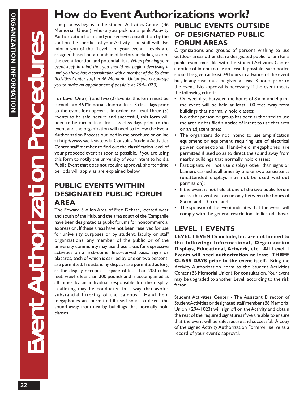Event Authorization Procedures Event Authorization Procedures Event Authorization Procedures

nt Authori

# **How do Event Authorizations work?**

The process begins in the Student Activities Center (B6 Memorial Union) where you pick up a pink Activity Authorization Form and you receive consultation by the staff on the specifics of your Activity. The staff will also inform you of the "Level" of your event. Levels are assigned based on a number of factors including size of the event, location and potential risk. *When planning your event keep in mind that you should not begin advertising it until you have had a consultation with a member of the Student Activities Center staff in B6 Memorial Union (we encourage you to make an appointment if possible at 294-1023).*

For Level One (1) and Two (2) Events, this form must be turned into B6 Memorial Union at least 3 class days prior to the event for approval. In order for Level Three (3) Events to be safe, secure and successful, this form will need to be turned in at least 15 class days prior to the event and the organization will need to follow the Event Authorization Process outlined in the brochure or online at http://www.sac.iastate.edu. Consult a Student Activities Center staff member to find out the classification level of your proposed event as soon as possible. If you are using this form to notify the university of your intent to hold a Public Event that does not require approval, shorter time periods will apply as are explained below.

## **PUBLIC EVENTS WITHIN DESIGNATED PUBLIC FORUM AREA**

The Edward S. Allen Area of Free Debate, located west and south of the Hub, and the area south of the Campanile have been designated as public forums for noncommercial expression. If these areas have not been reserved for use for university purposes or by student, faculty or staff organizations, any member of the public or of the university community may use these areas for expressive activities on a first–come, first–served basis. Signs or placards, each of which is carried by one or two persons, are permitted. Freestanding displays are permitted as long as the display occupies a space of less than 200 cubic feet, weighs less than 300 pounds and is accompanied at all times by an individual responsible for the display. Leafleting may be conducted in a way that avoids substantial littering of the campus. Hand–held megaphones are permitted if used so as to direct the sound away from nearby buildings that normally hold classes.

## **PUBLIC EVENTS OUTSIDE OF DESIGNATED PUBLIC FORUM AREAS**

Organizations and groups of persons wishing to use outdoor areas other than a designated public forum for a public event must file with the Student Activities Center a notice of intent to use an area. If possible, such notice should be given at least 24 hours in advance of the event but, in any case, must be given at least 3 hours prior to the event. No approval is necessary if the event meets the following criteria:

- On weekdays between the hours of 8 a.m. and 4 p.m., the event will be held at least 100 feet away from buildings that normally hold classes;
- No other person or group has been authorized to use the area or has filed a notice of intent to use that area or an adjacent area;
- The organizers do not intend to use amplification equipment or equipment requiring use of electrical power connections. Hand–held megaphones are permitted if used so as to direct the sound away from nearby buildings that normally hold classes;
- Participants will not use displays other than signs or banners carried at all times by one or two participants (unattended displays may not be used without permission);
- If the event is not held at one of the two public forum areas, the event will occur only between the hours of 8 a.m. and 10 p.m.; and
- The sponsor of the event indicates that the event will comply with the general restrictions indicated above.

## **LEVEL 1 EVENTS**

**LEVEL 1 EVENTS include, but are not limited to the following: Informational, Organization Displays, Educational, Artwork, etc. All Level 1 Events will need authorization at least THREE CLASS DAYS prior to the event itself.** Bring the Activity Authorization Form to the Student Activities Center (B6 Memorial Union), for consultation. Your event may be upgraded to another Level according to the risk factor.

Student Activities Center - The Assistant Director of Student Activities or designated staff member (B6 Memorial Union • 294-1023) will sign off on the Activity and obtain the rest of the required signatures if we are able to ensure that the event will be safe, secure and successful. A copy of the signed Activity Authorization Form will serve as a record of your event's approval.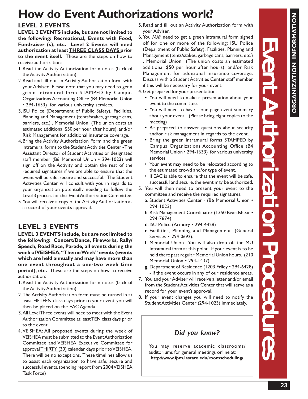Event Authorization Procedures Event Authorization Procedures Event Authorization Procedures

uthorization Procedure

## **FIOW GO EVENT AUTHORIZATIONS WORK!**<br>LEVEL 2 EVENTS **How do Event Authorizations work?**

## **LEVEL 2 EVENTS**

**LEVEL 2 EVENTS include, but are not limited to the following: Recreational, Events with Food, Fundraiser (s), etc. Level 2 Events will need authorization at least THREE CLASS DAYS prior to the event itself.** These are the steps on how to receive authorization:

- 1.Read the Activity Authorization form notes (back of the Activity Authorization).
- 2.Read and fill out an Activity Authorization form with your Adviser. Please note that you may need to get a green intramural form STAMPED by Campus Organizations Accounting Office (B4 Memorial Union • 294-1633) for various university services.
- 3.ISU Police (Department of Public Safety), Facilities, Planning and Management (tents/stakes, garbage cans, barriers, etc.) , Memorial Union (The union costs an estimated additional \$50 per hour after hours), and/or Risk Management for additional insurance coverage.
- 4.Bring the Activity Authorization Form and the green intramural forms to the Student Activities Center - The Assistant Director of Student Activities or designated staff member (B6 Memorial Union • 294-1023) will sign off on the Activity and obtain the rest of the required signatures if we are able to ensure that the event will be safe, secure and successful. The Student Activities Center will consult with you in regards to your organization potentially needing to follow the Level 3 process for the Event Authorization Committee.
- 5.You will receive a copy of the Activity Authorization as a record of your event's approval.

## **LEVEL 3 EVENTS**

**LEVEL 3 EVENTS include, but are not limited to the following: Concert/Dance, Fireworks, Rally/ Speech, Road Race, Parade, all events during the week of VEISHEA, "Theme Week" events (events which are held annually and may have more than one event throughout a one-two week time period), etc.** These are the steps on how to receive authorization:

- 1.Read the Activity Authorization form notes (back of the Activity Authorization).
- 2.The Activity Authorization form must be turned in at least **FIFTEEN** class days prior to your event, you will then be placed on the EAC Agenda.
- 3.All Level Three events will need to meet with the Event Authorization Committee at least TEN class days prior to the event.
- 4.VEISHEA: All proposed events during the week of VEISHEA must be submitted to the Event Authorization Committee and VEISHEA Executive Committee for approval **THIRTY** (30) calendar days prior to VEISHEA. There will be no exceptions. These timelines allow us to assist each organization to have safe, secure and successful events. (pending report from 2004 VEISHEA Task Force)
- 5.Read and fill out an Activity Authorization form with your Adviser.
- 6.You *MAY* need to get a green intramural form signed off for one or more of the following: ISU Police (Department of Public Safety), Facilities, Planning and Management (tents/stakes, garbage cans, barriers, etc.) , Memorial Union (The union costs an estimated additional \$50 per hour after hours), and/or Risk Management for additional insurance coverage. Discuss with a Student Activities Center staff member if this will be necessary for your event.

4. Get prepared for your presentation:

- You will need to make a presentation about your event to the committee.
- You will need to have a one page event summary about your event. (Please bring eight copies to the meeting)
- Be prepared to answer questions about security and/or risk management in regards to the event.
- Bring the green intramural forms STAMPED by Campus Organizations Accounting Office (B4 Memorial Union • 294-1633) for various university services.
- Your event may need to be relocated according to the estimated crowd and/or type of event.
- If EAC is able to ensure that the event will be safe, successful and secure, the event may be authorized.
- 5. You will then need to present your event to the committee and receive the required signatures.
	- a. Student Activities Center (B6 Memorial Union 294-1023)
	- b. Risk Management Coordinator (1350 Beardshear 294-7674)
	- d. ISU Police (Armory 294-4428)
	- e. Facilities, Planning and Management. (General Services • 294-0692).
	- f. Memorial Union. You will also drop off the MU Intramural form at this point. If your event is to be held there past regular Memorial Union hours. (210 Memorial Union • 294-1437)
	- g. Department of Residence (1203 Friley 294-6428) - if the event occurs in any of our residence areas.
- 7. You and your Adviser will receive a letter and/or email from the Student Activities Center that will serve as a record for your event's approval.
- 8. If your event changes you will need to notify the Student Activities Center (294-1023) immediately.

## *Did you know?*

You may reserve academic classrooms/ auditoriums for general meetings online at: **http://www.fpm.iastate.edu/roomscheduling/**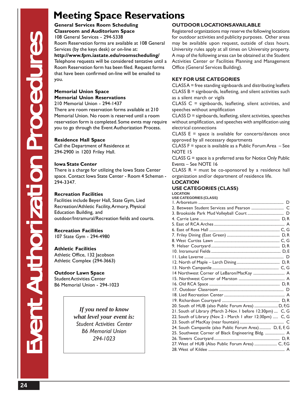## **Meeting Space Reservations**

**General Services Room Scheduling Classroom and Auditorium Space** 108 General Services - 294-5338 Room Reservation forms are available at 108 General Services (by the keys desk) or on-line at: **http://www.fpm.iastate.edu/roomscheduling/** Telephone requests will be considered tentative until a Room Reservation form has been filed. Request forms that have been confirmed on-line will be emailed to you.

## **Memorial Union Space Memorial Union Reservations**

210 Memorial Union - 294-1437

There are room reservation forms available at 210 Memorial Union. No room is reserved until a room reservation form is completed. Some evnts may require you to go through the Event Authorization Process.

## **Residence Hall Space**

Call the Department of Residence at 294-2900 in 1203 Friley Hall.

## **Iowa State Center**

There is a charge for utilizing the Iowa State Center space. Contact Iowa State Center - Room 4 Scheman - 294-3347.

## **Recreation Facilities**

Facilities include Beyer Hall, State Gym, Lied Recreation/Athletic Facility, Armory, Physical Education Building, and outdoor/Intramural/Recreation fields and courts.

## **Recreation Facilities**

107 State Gym - 294-4980

## **Athletic Facilities**

Athletic Office, 132 Jacobson Athletic Complex (294-3663)

## **Outdoor Lawn Space**

Student Activities Center B6 Memorial Union - 294-1023

> *If you need to know what level your event is: Student Activities Center B6 Memorial Union 294-1023*

## **OUTDOOR LOCATIONS AVAILABLE**

Registered organizations may reserve the following locations for outdoor activities and publicity purposes. Other areas may be available upon request, outside of class hours. University rules apply at all times on University property. A map of the following areas can be obtained at the Student Activities Center or Facilities Planning and Management Office (General Services Building).

## **KEY FOR USE CATEGORIES**

CLASS A = free standing signboards and distributing leaflets CLASS B = signboards, leafleting, and silent activities such as a silent march or vigils

CLASS C = signboards, leafleting, silent activities, and speeches without amplification

CLASS D = signboards, leafleting, silent activities, speeches without amplification, and speeches with amplification using electrical connections

CLASS  $E =$  space is available for concerts/dances once approved by all necessary departments

CLASS F = space is available as a Public Forum Area – See NOTE 15

CLASS G = space is a preferred area for Notice Only Public Events – See NOTE 16

CLASS  $R = must be co-sponsorted by a residence hall$ organization and/or department of residence life.

## **LOCATION**

## **USE CATEGORIES (CLASS)**

**LOCATION**

| <b>USE CATEGORIES (CLASS)</b>                               |
|-------------------------------------------------------------|
|                                                             |
|                                                             |
|                                                             |
|                                                             |
|                                                             |
|                                                             |
|                                                             |
|                                                             |
|                                                             |
|                                                             |
|                                                             |
|                                                             |
|                                                             |
| 14 Northwest Corner of LeBaron/MacKay  A                    |
|                                                             |
|                                                             |
|                                                             |
|                                                             |
|                                                             |
| 20. South of HUB (also Public Forum Area)  D, F,G           |
| 21. South of Library (March 2-Nov. I before 12:30pm)  C, G  |
| 22. South of Library (Nov. 2 - March I after 12:30pm)  C, G |
|                                                             |
| 24. South Campanile (also Public Forum Area)  D, E, F, G    |
| 25. Southwest Corner of Black Engineering Bldg.  A          |
|                                                             |
| 27. West of HUB (Also Public Forum Area)  C, F,G            |
|                                                             |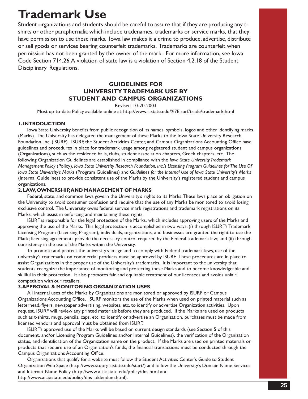# **Trademark Use**

Student organizations and students should be careful to assure that if they are producing any tshirts or other paraphernalia which include tradenames, trademarks or service marks, that they have permission to use these marks. Iowa law makes it a crime to produce, advertise, distribute or sell goods or services bearing counterfeit trademarks. Trademarks are counterfeit when permission has not been granted by the owner of the mark. For more information, see Iowa Code Section 714.26. A violation of state law is a violation of Section 4.2.18 of the Student Disciplinary Regulations.

## **GUIDELINES FOR UNIVERSITY TRADEMARK USE BY STUDENT AND CAMPUS ORGANIZATIONS**

Revised 10-20-2003

Most up-to-date Policy available online at: http://www.iastate.edu/%7Eisurf/trade/trademark.html

#### **1. INTRODUCTION**

Iowa State University benefits from public recognition of its names, symbols, logos and other identifying marks (Marks). The University has delegated the management of these Marks to the Iowa State University Research Foundation, Inc. (ISURF). ISURF, the Student Activities Center, and Campus Organizations Accounting Office have guidelines and procedures in place for trademark usage among registered student and campus organizations (Organizations), such as the residence halls, clubs, student association chapters, Greek chapters, etc. The following Organization Guidelines are established in compliance with the *Iowa State University Trademark Management Policy* (Policy), *Iowa State University Research Foundation, Inc.'s Licensing Program Guidelines for The Use Of Iowa State University's Marks* (Program Guidelines) and *Guidelines for the Internal Use of Iowa State University's Marks* (Internal Guidelines) to provide consistent use of the Marks by the University's registered student and campus organizations.

#### **2. LAW, OWNERSHIP, AND MANAGEMENT OF MARKS**

Federal, state, and common laws govern the University's rights to its Marks. These laws place an obligation on the University to avoid consumer confusion and require that the use of any Marks be monitored to avoid losing exclusive control. The University owns federal service mark registrations and trademark registrations on its Marks, which assist in enforcing and maintaining these rights.

ISURF is responsible for the legal protection of the Marks, which includes approving users of the Marks and approving the use of the Marks. This legal protection is accomplished in two ways: (i) through ISURF's Trademark Licensing Program (Licensing Program), individuals, organizations, and businesses are granted the right to use the Mark; licensing agreements provide the necessary control required by the Federal trademark law; and (ii) through consistency in the use of the Marks within the University.

To promote and protect the university's image and to comply with Federal trademark laws, use of the university's trademarks on commercial products must be approved by ISURF. These procedures are in place to assist Organizations in the proper use of the University's trademarks. It is important to the university that students recognize the importance of monitoring and protecting these Marks and to become knowledgeable and skillful in their protection. It also promotes fair and equitable treatment of our licensees and avoids unfair competition with our retailers.

#### **3. APPROVAL & MONITORING ORGANIZATION USES**

All internal uses of the Marks by Organizations are monitored or approved by ISURF or Campus Organizations Accounting Office. ISURF monitors the use of the Marks when used on printed material such as letterhead, flyers, newspaper advertising, websites, etc. to identify or advertise Organization activities. Upon request, ISURF will review any printed materials before they are produced. If the Marks are used on products such as t-shirts, mugs, pencils, caps, etc. to identify or advertise an Organization, purchases must be made from licensed vendors and approval must be obtained from ISURF.

ISURF's approved use of the Marks will be based on current design standards (see Section 5 of this document, and/or Licensing Program Guidelines and/or Internal Guidelines), the verification of the Organization status, and identification of the Organization name on the product. If the Marks are used on printed materials or products that require use of an Organization's funds, the financial transactions must be conducted through the Campus Organizations Accounting Office.

Organizations that qualify for a website must follow the Student Activities Center's Guide to Student Organization Web Space (http://www.stuorg.iastate.edu/start/) and follow the University's Domain Name Services and Internet Name Policy (http://www.ait.iastate.edu/policy/dns.html and http://www.ait.iastate.edu/policy/dns-addendum.html).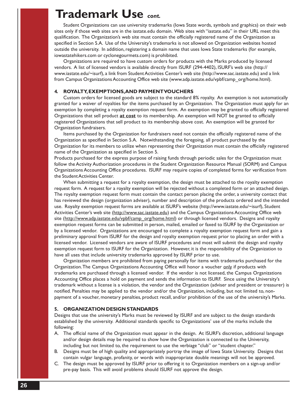## **Trademark Use** *cont.*

Student Organizations can use university trademarks (Iowa State words, symbols and graphics) on their web sites only if those web sites are in the iastate.edu domain. Web sites with "iastate.edu" in their URL meet this qualification. The Organization's web site must contain the officially registered name of the Organization as specified in Section 5.A. Use of the University's trademarks is not allowed on Organization websites hosted outside the university. In addition, registering a domain name that uses Iowa State trademarks (for example, iowastatehikers.com or cyclonegourmets.com) is prohibited.

Organizations are required to have custom orders for products with the Marks produced by licensed vendors. A list of licensed vendors is available directly from ISURF (294-4402), ISURF's web site (http:// www.iastate.edu/~isurf), a link from Student Activities Center's web site (http://www.sac.iastate.edu) and a link from Campus Organizations Accounting Office web site (www.adp.iastate.edu/vpbf/camp\_org/home.html).

#### **4. ROYALTY, EXEMPTIONS, AND PAYMENT VOUCHERS**

Custom orders for licensed goods are subject to the standard 8% royalty. An exemption is not automatically granted for a waiver of royalties for the items purchased by an Organization. The Organization must apply for an exemption by completing a royalty exemption request form. An exemption may be granted to officially registered Organizations that sell product **at cost** to its membership. An exemption will NOT be granted to officially registered Organizations that sell product to its membership above cost. An exemption will be granted for Organization fundraisers.

Items purchased by the Organization for fundraisers need not contain the officially registered name of the Organization as specified in Section 5.A. Notwithstanding the foregoing, all product purchased by the Organization for its members to utilize when representing their Organization must contain the officially registered name of the Organization as specified in Section 5.

Products purchased for the express purpose of raising funds through periodic sales for the Organization must follow the Activity Authorization procedures in the Student Organization Resource Manual (SORM) and Campus Organizations Accounting Office procedures. ISURF may require copies of completed forms for verification from the Student Activities Center.

When submitting a request for a royalty exemption, the design must be attached to the royalty exemption request form. A request for a royalty exemption will be rejected without a completed form or an attached design. The royalty exemption request form must contain the contact person placing the order, a university contact that has reviewed the design (organization adviser), number and description of the products ordered and the intended use. Royalty exemption request forms are available at ISURF's website (http://www.iastate.edu/~isurf), Student Activities Center's web site (http://www.sac.iastate.edu) and the Campus Organizations Accounting Office web site (http://www.adp.iastate.edu/vpbf/camp\_org/home.html) or through licensed vendors. Designs and royalty exemption request forms can be submitted in person, mailed, emailed or faxed to ISURF by the Organization or by a licensed vendor. Organizations are encouraged to complete a royalty exemption request form and gain a preliminary approval from ISURF for the design and royalty exemption request prior to placing an order with a licensed vendor. Licensed vendors are aware of ISURF procedures and most will submit the design and royalty exemption request form to ISURF for the Organization. However, it is the responsibility of the Organization to have all uses that include university trademarks approved by ISURF prior to use.

Organization members are prohibited from paying personally for items with trademarks purchased for the Organization. The Campus Organizations Accounting Office will honor a voucher only if products with trademarks are purchased through a licensed vendor. If the vendor is not licensed, the Campus Organizations Accounting Office places a hold on payment and sends the information to ISURF. Since using the University's trademark without a license is a violation, the vendor and the Organization (adviser and president or treasurer) is notified. Penalties may be applied to the vendor and/or the Organization, including, but not limited to, nonpayment of a voucher, monetary penalties, product recall, and/or prohibition of the use of the university's Marks.

#### **5. ORGANIZATION DESIGN STANDARDS**

Designs that use the university's Marks must be reviewed by ISURF and are subject to the design standards established by the university. Additional standards specific to Organizations' use of the marks include the following:

- A. The official name of the Organization must appear in the design. At ISURF's discretion, additional language and/or design details may be required to show how the Organization is connected to the University, including but not limited to, the requirement to use the verbiage "club" or "student chapter."
- B. Designs must be of high quality and appropriately portray the image of Iowa State University. Designs that contain vulgar language, profanity, or words with inappropriate double meanings will not be approved.
- C. The design must be approved by ISURF prior to offering it to Organization members on a sign-up and/or pre-pay basis. This will avoid problems should ISURF not approve the design.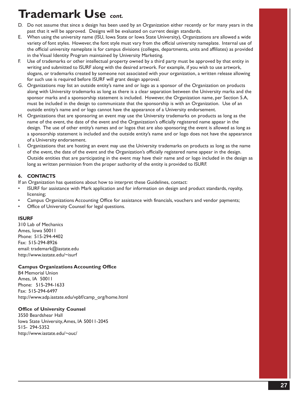# **Trademark Use** *cont.*

- D. Do not assume that since a design has been used by an Organization either recently or for many years in the past that it will be approved. Designs will be evaluated on current design standards.
- E. When using the university name (ISU, Iowa State or Iowa State University), Organizations are allowed a wide variety of font styles. However, the font style must vary from the official university nameplate. Internal use of the official university nameplate is for campus divisions (colleges, departments, units and affiliates) as provided in the Visual Identity Program maintained by University Marketing.
- F. Use of trademarks or other intellectual property owned by a third party must be approved by that entity in writing and submitted to ISURF along with the desired artwork. For example, if you wish to use artwork, slogans, or trademarks created by someone not associated with your organization, a written release allowing for such use is required before ISURF will grant design approval.
- G. Organizations may list an outside entity's name and or logo as a sponsor of the Organization on products along with University trademarks as long as there is a clear separation between the University marks and the sponsor marks and a sponsorship statement is included. However, the Organization name, per Section 5.A, must be included in the design to communicate that the sponsorship is with an Organization. Use of an outside entity's name and or logo cannot have the appearance of a University endorsement.
- H. Organizations that are sponsoring an event may use the University trademarks on products as long as the name of the event, the date of the event and the Organization's officially registered name appear in the design. The use of other entity's names and or logos that are also sponsoring the event is allowed as long as a sponsorship statement is included and the outside entity's name and or logo does not have the appearance of a University endorsement.
- I. Organizations that are hosting an event may use the University trademarks on products as long as the name of the event, the date of the event and the Organization's officially registered name appear in the design. Outside entities that are participating in the event may have their name and or logo included in the design as long as written permission from the proper authority of the entity is provided to ISURF.

## **6. CONTACTS**

If an Organization has questions about how to interpret these Guidelines, contact:

- ISURF for assistance with Mark application and for information on design and product standards, royalty, licensing;
- Campus Organizations Accounting Office for assistance with financials, vouchers and vendor payments;
- Office of University Counsel for legal questions.

## **ISURF**

310 Lab of Mechanics Ames, Iowa 50011 Phone: 515-294-4402 Fax: 515-294-8926 email: trademark@iastate.edu http://www.iastate.edu/~isurf

## **Campus Organizations Accounting Office**

B4 Memorial Union Ames, IA 50011 Phone: 515-294-1633 Fax: 515-294-6497 http://www.adp.iastate.edu/vpbf/camp\_org/home.html

## **Office of University Counsel**

3550 Beardshear Hall Iowa State University, Ames, IA 50011-2045 515- 294-5352 http://www.iastate.edu/~ouc/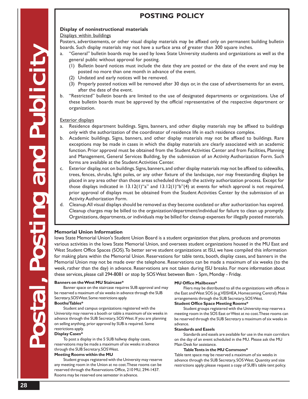## **POSTING POLICY**

### **Display of noninstructional materials**

#### Displays within buildings

Posters, advertisements, or other visual display materials may be affixed only on permanent building bulletin boards. Such display materials may not have a surface area of greater than 300 square inches.

- "General" bulletin boards may be used by Iowa State University students and organizations as well as the general public without approval for posting.
	- (1) Bulletin board notices must include the date they are posted or the date of the event and may be posted no more than one month in advance of the event.
	- (2) Undated and early notices will be removed.
	- (3) Properly posted notices will be removed after 30 days or, in the case of advertisements for an event, after the date of the event.
- b. "Restricted" bulletin boards are limited to the use of designated departments or organizations. Use of these bulletin boards must be approved by the official representative of the respective department or organization.

#### Exterior displays

- a. Residence department buildings. Signs, banners, and other display materials may be affixed to buildings only with the authorization of the coordinator of residence life in each residence complex.
- b. Academic buildings. Signs, banners, and other display materials may not be affixed to buildings. Rare exceptions may be made in cases in which the display materials are clearly associated with an academic function. Prior approval must be obtained from the Student Activities Center and from Facilities, Planning and Management, General Services Building, by the submission of an Activity Authorization Form. Such forms are available at the Student Activities Center.
- c. Exterior display, not on buildings. Signs, banners, and other display materials may not be affixed to sidewalks, trees, fences, shrubs, light poles, or any other fixture of the landscape, nor may freestanding displays be placed in any area other than those areas scheduled through the activity authorization process. Except for those displays indicated in  $13.12(1)$ "a" and  $13.12(1)$ "b"(4) at events for which approval is not required, prior approval of displays must be obtained from the Student Activities Center by the submission of an Activity Authorization Form.
- d. Cleanup. All visual displays should be removed as they become outdated or after authorization has expired. Cleanup charges may be billed to the organization/department/individual for failure to clean up promptly. Organizations, departments, or individuals may be billed for cleanup expenses for illegally posted materials.

### **Memorial Union Information**

Iowa State Memorial Union's Student Union Board is a student organization that plans, produces and promotes various activities in the Iowa State Memorial Union, and oversees student organizations housed in the MU East and West Student Office Spaces (SOS). To better serve student organizations at ISU, we have compiled this information for making plans within the Memorial Union. Reservations for table tents, booth, display cases, and banners in the Memorial Union may not be made over the telephone. Reservations can be made a maximum of six weeks (to the week, rather than the day) in advance. Reservations are not taken during ISU breaks. For more information about these services, please call 294-8081 or stop by SOS West between 8am - 5pm, Monday - Friday.

#### **Banners on the West MU Staircase\***

Banner space on the staircase requires SUB approval and may be reserved a maximum of six weeks in advance through the SUB Secretary, SOS West. Some restrictions apply. **Booths/Tables\***

Student and campus organizations registered with the University may reserve a booth or table a maximum of six weeks in advance through the SUB Secretary, SOS West. If you are planning on selling anything, prior approval by SUB is required. Some restrictions apply.

#### **Display Cases\***

To post a display in the 5 SUB hallway display cases, reservations may be made a maximum of six weeks in advance through the SUB Secretary, SOS West.

#### **Meeting Rooms within the MU**

Student groups registered with the University may reserve any meeting room in the Union at no cost. These rooms can be reserved through the Reservations Office, 210 MU, 294-1437. Rooms may be reserved one semester in advance.

#### **MU Office Mailboxes\***

Fliers may be distributed to all the organizations with offices in the East and West SOS (e.g. VEISHEA, Homecoming Central). Make arrangements through the SUB Secretary, SOS West.

#### **Student Office Space Meeting Rooms\***

Student groups registered with the University may reserve a meeting room in the SOS East or West at no cost. These rooms can be reserved through the SUB Secretary a maximum of six weeks in advance.

#### **Standards and Easels**

Standards and easels are available for use in the main corridors on the day of an event scheduled in the MU. Please ask the MU Main Desk for assistance.

#### **Table Tents in the MU Commons\***

Table tent space may be reserved a maximum of six weeks in advance through the SUB Secretary, SOS West. Quantity and size restrictions apply; please request a copy of SUB's table tent policy.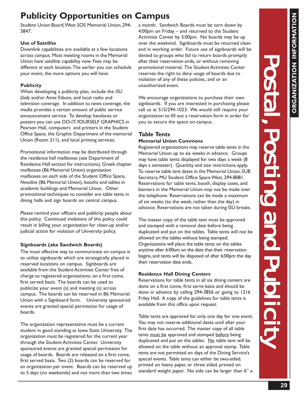## **Publicity Opportunities on Campus**

Student Union Board, West SOS Memorial Union, 294- 3847.

## **Use of Satellite**

Downlink capabilities are available at a few locations across campus. Most meeting rooms in the Memorial Union have satellite capability now. Fees may be different at each location. The earlier you can schedule your event, the more options you will have.

## **Publicity**

When developing a publicity plan, include the *ISU Daily* and/or *Ames Tribune,* and local radio and television coverage. In addition to news coverage, the media provides a certain amount of public service announcement service. To develop handouts or posters you can use DO-IT-YOURSELF GRAPHICS in Pearson Hall, computers and printers in the Student Office Space, the Graphic Department of the memorial Union (Room 211), and local printing services.

Promotional information may be distributed through the residence hall mailboxes (see Department of Residence Hall section for instructions), Greek chapter mailboxes (B6 Memorial Union) organization mailboxes on each side of the Student Office Space, *Newsline* (B6 Memorial Union), booths and tables in academic buildings and Memorial Union. Other promotional techniques to consider are table tents in dining halls and sign boards on central campus.

Please remind your officers and publicity people about this policy. Continued violations of this policy could result in billing your organization for clean-up and/or judicial action for violation of University policy.

## **Signboards (aka Sandwich Boards)**

The most effective way to communicate on campus is to utilize signboards which are strategically placed in reserved locations on campus. Signboards are available from the Student Activities Center free of charge to registered organizations, on a first come, first served basis. The boards can be used to publicize your event (s) and meeting (s) across campus. The boards can be reserved in B6 Memorial Union with a Signboard form. University sponsored events are granted special permission for usage of boards.

The organization representative must be a current student in good standing at Iowa State University. The organization must be registered for the current year through the Student Activities Center. University sponsored events are granted special permission for usage of boards. Boards are released on a first come, first served basis. Two (2) boards can be reserved for an organization per event. Boards can be reserved up to 5 days (no weekends) and not more than two times

a month. Sandwich Boards must be torn down by 4:00pm on Friday – and returned to the Student Activities Center by 5:00pm. No boards may be up over the weekend. Signboards must be returned clean and in working order. Future use of signboards will be denied to groups who fail to return boards promptly after their reservation ends, or without removing promotional material. The Student Activities Center reserves the right to deny usage of boards due to violation of any of these policies, and or an unauthorized event.

We encourage organizations to purchase their own signboards. If you are interested in purchasing please call us at 515/294-1023. We would still require your organization to fill out a reservation form in order for you to secure the space on campus.

## **Table Tents**

## **Memorial Union Commons**

Registered organizations may reserve table tents in the Memorial Union up to six weeks in advance. Groups may have table tents displayed for two days a week (8 days a semester). Quantity and size restrictions apply. To reserve table tent dates in the Memorial Union, SUB Secretary, MU Student Office Space West, 294-8081. Reservations for table tents, booth, display cases, and banners in the Memorial Union may not be made over the telephone. Reservations can be made a maximum of six weeks (to the week, rather than the day) in advance. Reservations are not taken during ISU breaks.

The master copy of the table tent must be approved and stamped with a removal date before being duplicated and put on the tables. Table tents will not be allowed on the tables without being stamped. Organizations will place the table tents on the tables anytime after 6:00am on the date that their reservation begins, and tents will be disposed of after 6:00pm the day their reservation date ends.

## **Residence Hall Dining Centers**

Reservations for table tents in all six dining centers are done on a first come, first serve basis and should be done in advance by calling 294-3856 or going to 1216 Friley Hall. A copy of the guidelines for table tents is available from this office upon request.

Table tents are approved for only one day for one event. You may not reserve additional dates until after your first date has occurred. The master copy of all table tents must be approved and stamped before being duplicated and put on the tables.  $N_0$  table tent will be allowed on the table without an approval stamp. Table tents are not permitted on days of the Dining Service's special events. Table tents can either be two-sided, printed on heavy paper, or three sided, printed on standard weight paper. No side can be larger than 6" x **ORGANIZATION INFORMATION**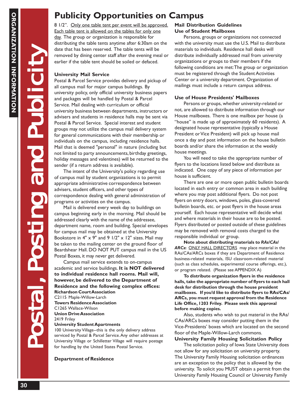Postal, Posting and Publicit Postal, Posting and Publicit Postal, Posting and Publicity

**NET** 

## **Publicity Opportunities on Campus**

8 1/2". Only one table tent per event will be approved. Each table tent is allowed on the tables for only one day. The group or organization is responsible for distributing the table tents anytime after 6:30am on the date that has been reserved. The table tents will be removed by dining center staff after the evening meal or earlier if the table tent should be soiled or defaced.

## **University Mail Service**

Postal & Parcel Service provides delivery and pickup of all campus mail for major campus buildings. By university policy, only official university business papers and packages will be handled by Postal & Parcel Service. Mail dealing with curriculum or official university business between departments, instructors or advisers and students in residence halls may be sent via Postal & Parcel Service. Special interest and student groups may not utilize the campus mail delivery system for general communications with their membership or individuals on the campus, including residence halls. Mail that is deemed "personal" in nature (including but not limited to party announcements, birthday greetings, holiday messages and valentines) will be returned to the sender (if a return address is available).

The intent of the University's policy regarding use of campus mail by student organizations is to permit appropriate administrative correspondence between advisers, student officers, and other types of correspondence dealing with general administration of programs or activities on the campus.

Mail is delivered every week day to buildings on campus beginning early in the morning. Mail should be addressed clearly with the name of the addressee, department name, room and building. Special envelopes for campus mail may be obtained at the University Bookstore in  $4'' \times 9''$  and  $9$   $1/2'' \times 12''$  sizes. Mail may be taken to the mailing center on the ground floor of Beardshear Hall. DO NOT PUT campus mail in the US Postal Boxes, it may never get delivered.

Campus mail service extends to on-campus academic and service buildings. **It is NOT delivered to individual residence hall rooms. Mail will, however, be delivered to the Department of Residence and the following complex offices: Richardson Court Association** C2115 Maple-Willow-Larch **Towers Residence Association**

C1265 Wallace-Wilson **Union Drive Association** 2419 Friley

## **University Student Apartments**

100 University Village--this is the only delivery address serviced by Postal & Parcel Service. Any other addresses at University Village or Schilletter Village will require postage for handling by the United States Postal Service.

## **Department of Residence**

## **Mail Distribution Guidelines Use of Student Mailboxes**

Persons, groups or organizations not connected with the university must use the U.S. Mail to distribute materials to individuals. Residence hall desks will distribute individually addressed mail from university organizations or groups to their members if the following conditions are met: The group or organization must be registered through the Student Activities Center or a university department. Organization of mailings must include a return campus address.

## **Use of House Presidents' Mailboxes**

Persons or groups, whether university-related or not, are allowed to distribute information through our House mailboxes. There is one mailbox per house (a "house" is made up of approximately 60 residents). A designated house representative (typically a House President or Vice President) will pick up house mail once a day and post information on the house bulletin boards and/or share the information at the weekly house meetings.

You will need to take the appropriate number of flyers to the locations listed below and distribute as indicated. One copy of any piece of information per house is sufficient.

There are one or more open public bulletin boards located in each entry or common area in each building where you may post additional flyers. Do not post flyers on entry doors, windows, poles, glass-covered bulletin boards, etc. or post flyers in the house areas yourself. Each house representative will decide what and where materials in their house are to be posted. Flyers distributed or posted outside of these guidelines may be removed with removal costs charged to the responsible individual or group.

**Note about distributing materials to** *RAs/CAs/* ARCs: ONLY HALL DIRECTORS may place material in the RAs/CAs/ARCs boxes if they are Department of Residence business-related materials, ISU classroom-related material (such as class schedules, experimental course offerings, etc.), or program related. (Please see APPENDIX A)

**To distribute organization flyers in the residence halls, take the appropriate number of flyers to each hall desk for distribution through the house president mailboxes. If you'd like to distribute flyers to RAs/CAs/ ARCs, you must request approval from the Residence Life Office, 1203 Friley. Please seek this approval before making copies.**

Also, students who wish to put material in the RAs/ CAs/ARCs boxes may consider putting them in the Vice-Presidents' boxes which are located on the second floor of the Maple-Willow-Larch commons.

### **University Family Housing Solicitation Policy**

The solicitation policy of Iowa State University does not allow for any solicitation on university property. The University Family Housing solicitation ordinances are an exception to the policy that is allowed by the university. To solicit you MUST obtain a permit from the University Family Housing Council or University Family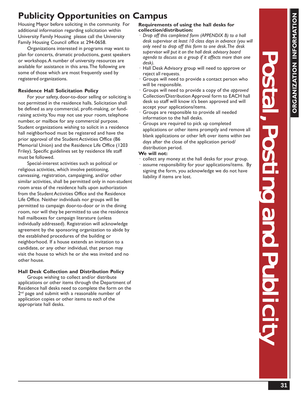## **Publicity Opportunities on Campus**

Housing Mayor before soliciting in the community. For additional information regarding solicitation within University Family Housing please call the University Family Housing Council office at 294-0658.

Organizations interested in programs may want to plan for concerts, dramatic productions, guest speakers or workshops. A number of university resources are available for assistance in this area. The following are some of those which are most frequently used by registered organizations.

## **Residence Hall Solicitation Policy**

For your safety, door-to-door selling or soliciting is not permitted in the residence halls. Solicitation shall be defined as any commercial, profit-making, or fundraising activity. You may not use your room, telephone number, or mailbox for any commercial purpose. Student organizations wishing to solicit in a residence hall neighborhood must be registered and have the prior approval of the Student Activities Office (B6 Memorial Union) and the Residence Life Office (1203 Friley). Specific guidelines set by residence life staff must be followed.

Special-interest activities such as political or religious activities, which involve petitioning, canvassing, registration, campaigning, and/or other similar activities, shall be permitted only in non-student room areas of the residence halls upon authorization from the Student Activities Office and the Residence Life Office. Neither individuals nor groups will be permitted to campaign door-to-door or in the dining room, nor will they be permitted to use the residence hall mailboxes for campaign literature (unless individually addressed). Registration will acknowledge agreement by the sponsoring organization to abide by the established procedures of the building or neighborhood. If a house extends an invitation to a candidate, or any other individual, that person may visit the house to which he or she was invited and no other house.

## **Hall Desk Collection and Distribution Policy**

Groups wishing to collect and/or distribute applications or other items through the Department of Residence hall desks need to complete the form on the 2<sup>nd</sup> page and submit with a reasonable number of application copies or other items to *each* of the appropriate hall desks.

## **Requirements of using the hall desks for collection/distribution:**

- · *Drop off this completed form (APPENDIX B) to a hall desk supervisor at least 10 class days in advance (you will only need to drop off this form to one desk. The desk supervisor will put it on the hall desk advisory board agenda to discuss as a group if it affects more than one desk).*
- Hall Desk Advisory group will need to approve or reject all requests.
- Groups will need to provide a contact person who will be responsible.
- Groups will need to provide a copy of the *approved* Collection/Distribution Approval form to EACH hall desk so staff will know it's been approved and will accept your applications/items.
- Groups are responsible to provide all needed information to the hall desks.
- Groups are required to pick up completed applications or other items promptly and remove all blank applications or other left over items *within two days* after the close of the application period/ distribution period.

## **We will not:**

- collect any money at the hall desks for your group.
- assume responsibility for your applications/items. By signing the form, you acknowledge we do not have liability if items are lost.

**ORGANIZATION INFORMATION**

GANIZATION INFORM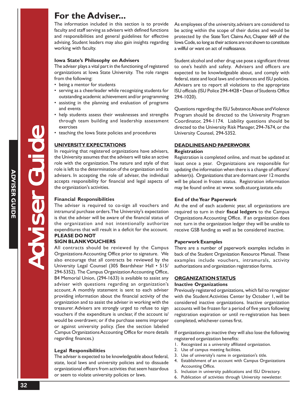## **For the Adviser...**

The information included in this section is to provide faculty and staff serving as advisers with defined functions and responsibilities and general guidelines for effective advising. Student leaders may also gain insights regarding working with faculty.

#### **Iowa State's Philosophy on Advisers**

The adviser plays a vital part in the functioning of registered organizations at Iowa State University. The role ranges from the following:

- being a mentor for students
- serving as a cheerleader while recognizing students for outstanding academic achievement and/or programming
- assisting in the planning and evaluation of programs and events
- help students assess their weaknesses and strengths through team building and leadership assessment exercises
- teaching the Iowa State policies and procedures

#### **UNIVERSITY EXPECTATIONS**

In requiring that registered organizations have advisers, the University assumes that the advisers will take an active role with the organization. The nature and style of that role is left to the determination of the organization and its advisers. In accepting the role of adviser, the individual accepts responsibility for financial and legal aspects of the organization's activities.

#### **Financial Responsibilities**

The adviser is required to co-sign all vouchers and intramural purchase orders. The University's expectation is that the adviser will be aware of the financial status of the organization and not intentionally authorize expenditures that will result in a deficit for the account. **PLEASE DO NOT**

### **SIGN BLANK VOUCHERS**

All contracts should be reviewed by the Campus Organizations Accounting Office prior to signature. We also encourage that all contracts be reviewed by the University Legal Counsel (305 Beardshear Hall • 515/ 294-5352). The Campus Organization Accounting Office, B4 Memorial Union, (294-1633) is available to assist any adviser with questions regarding an organization's account. A monthly statement is sent to each adviser providing information about the financial activity of the organization and to assist the adviser in working with the treasurer. Advisers are strongly urged to refuse to sign vouchers if the expenditure is unclear, if the account is/ would be overdrawn; or if the purchase seems improper or against university policy. (See the section labeled Campus Organizations Accounting Office for more details regarding finances.)

#### **Legal Responsibilities**

The adviser is expected to be knowledgeable about federal, state, local laws and university policies and to dissuade organizational officers from activities that seem hazardous or seem to violate university policies or laws.

As employees of the university, advisers are considered to be acting within the scope of their duties and would be protected by the State Tort Claims Act, Chapter 669 of the Iowa Code, so long as their actions are not shown to constitute a willful or want on act of malfeasance.

Student alcohol and other drug use pose a significant threat to one's health and safety. Advisers and officers are expected to be knowledgeable about, and comply with federal, state and local laws and ordinances and ISU policies. Advisers are to report all violations to the appropriate ISU officials (ISU Police 294-4428 • Dean of Students Office 294-1020).

Questions regarding the ISU Substance Abuse and Violence Program should be directed to the University Program Coordinator, 294-1174. Liability questions should be directed to the University Risk Manager, 294-7674, or the University Counsel, 294-5352.

## **DEADLINES AND PAPERWORK Registration**

Registration is completed online, and must be updated at least once a year. Organiztaions are responsible for updating the information when there is a change of officers/ adviser(s). Organizations that are dormant over 12 months will be placed in frozen status. Registration information may be found online at: www. sodb.stuorg.iastate.edu

#### **End of the Year Paperwork**

At the end of each academic year, all organizations are required to turn in their **fiscal ledgers** to the Campus Organizations Accounting Office. If an organization does not turn in the organization ledger they will be unable to receive GSB funding as well as be considered inactive.

#### **Paperwork Examples**

There are a number of paperwork examples includes in back of the Student Organization Resource Manual. These examples include vouchers, intramurals, activity authorizations and organization registration forms.

#### **ORGANIZATION STATUS**

#### **Inactive Organizations**

Previously registered organizations, which fail to reregister with the Student Activities Center by October 1, will be considered inactive organizations. Inactive organization accounts will be frozen for a period of five years following registration expiration or until re-registration has been completed, whichever comes first.

If organizations go inactive they will also lose the following registered organization benefits:

- 1. Recognized as a university affiliated organization.
- 2. Use of campus meeting facilities.
- 3. Use of university's name in organization's title.
- 4. Establishment of an account with Campus Organizations Accounting Office.
- 5. Inclusion in university publications and ISU Directory.
- 6. Publication of activities through University newsletter.

**GUT**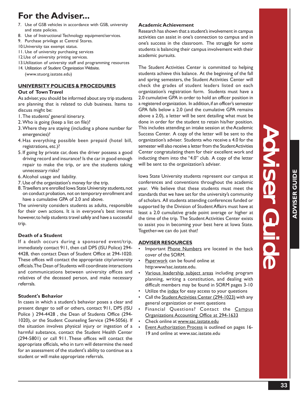Heldise

Guide

## **For the Adviser...**

- 7. Use of GSB vehicles in accordance with GSB, university and state policies.
- 8. Use of Instructional Technology equipment/services.
- 9. Purchase privilege at Central Stores.
- 10.University tax exempt status.
- 11. Use of university purchasing services
- 12.Use of university printing services.
- 13.Utilization of university staff and programming resources 14. Utilization of Student Organization Website.

(www.stuorg.iastate.edu)

## **UNIVERSITY POLICIES & PROCEDURES**

## **Out of Town Travel**

As adviser, you should be informed about any trip students are planning that is related to club business. Items to discuss might be:

- 1. The students' general itinerary.
- 2. Who is going (keep a list on file)?
- 3. Where they are staying (including a phone number for emergencies)?
- 4.Has everything possible been prepaid (hotel bill, registrations, etc.)?
- 5. If going by private car, does the driver possess a good driving record and insurance? Is the car in good enough repair to make the trip, or are the students taking unnecessary risks?
- 6. Alcohol usage and liability.
- 7. Use of the organization's money for the trip.
- 8. Travellers are enrolled Iowa State University students, not on conduct probation, not on temporary enrollment and have a cumulative GPA of 2.0 and above.

The university considers students as adults, responsible for their own actions. It is in everyone's best interest however, to help students travel safely and have a successful trip.

## **Death of a Student**

If a death occurs during a sponsored event/trip, immediately contact 911, then call DPS (ISU Police) 294- 4428, then contact Dean of Student Office at 294-1020. These offices will contact the appropriate city/university officials. The Dean of Students will coordinate interactions and communications between university offices and relatives of the deceased person, and make necessary referrals.

## **Student's Behavior**

In cases in which a student's behavior poses a clear and present danger to self or others, contact 911, DPS (ISU Police ) 294-4428 , the Dean of Students Office (294- 1020), or the Student Counseling Service (294-5056). If the situation involves physical injury or ingestion of a harmful substance, contact the Student Health Center (294-5801) or call 911. These offices will contact the appropriate officials, who in turn will determine the need for an assessment of the student's ability to continue as a student or will make appropriate referrals.

## **Academic Achievement**

Research has shown that a student's involvement in campus activities can assist in one's connection to campus and in one's success in the classroom. The struggle for some students is balancing their campus involvement with their academic pursuits.

The Student Activities Center is committed to helping students achieve this balance. At the beginning of the fall and spring semesters, the Student Activities Center will check the grades of student leaders listed on each organization's registration form. Students must have a 2.0 cumulative GPA in order to hold an officer position in a registered organization. In addition, if an officer's semester GPA falls below a 2.0 (and the cumulative GPA remains above a 2.0), a letter will be sent detailing what must be done in order for the student to retain his/her position. This includes attending an intake session at the Academic Success Center. A copy of the letter will be sent to the organization's adviser. Students who receive a 4.0 for the semester will also receive a letter from the Student Activities Center congratulating them for their excellent work and inducting them into the "4.0" club. A copy of the letter will be sent to the organization's adviser.

Iowa State University students represent our campus at conferences and conventions throughout the academic year. We believe that these students must meet the standards that we have set for the university's community of scholars. All students attending conferences funded or supported by the Division of Student Affairs must have at least a 2.0 cumulative grade point average or higher at the time of the trip. The Student Activities Center exists to assist you in becoming your best here at Iowa State. Together-we can do just that!

## **ADVISER RESOURCES**

- Important Phone Numbers are located in the back cover of the SORM.
- Paperwork can be found online at http:www/sac.iastate.edu.
- Various leadership subject areas including program planning, writing a constitution, and dealing with difficult members may be found in SORM pages 3-10
- Utilize the index for easy access to your questions
- Call the Student Activities Center (294-1023) with any general organization or event questions
- Financial Questions? Contact the Campus Organizations Accounting Office at 294-1633
- Check online at www.sac.iastate.edu
- Event Authorization Process is outlined on pages 16- 19 and online at www.sac.iastate.edu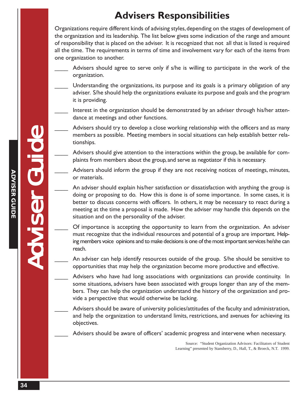## **Advisers Responsibilities**

Organizations require different kinds of advising styles, depending on the stages of development of the organization and its leadership. The list below gives some indication of the range and amount of responsibility that is placed on the adviser. It is recognized that not all that is listed is required all the time. The requirements in terms of time and involvement vary for each of the items from one organization to another.

- Advisers should agree to serve only if s/he is willing to participate in the work of the organization.
	- Understanding the organizations, its purpose and its goals is a primary obligation of any adviser. S/he should help the organizations evaluate its purpose and goals and the program it is providing.
- Interest in the organization should be demonstrated by an adviser through his/her attendance at meetings and other functions.
- Advisers should try to develop a close working relationship with the officers and as many members as possible. Meeting members in social situations can help establish better relationships.
- Advisers should give attention to the interactions within the group, be available for complaints from members about the group, and serve as negotiator if this is necessary.
- Advisers should inform the group if they are not receiving notices of meetings, minutes, or materials.
- An adviser should explain his/her satisfaction or dissatisfaction with anything the group is doing or proposing to do. How this is done is of some importance. In some cases, it is better to discuss concerns with officers. In others, it may be necessary to react during a meeting at the time a proposal is made. How the adviser may handle this depends on the situation and on the personality of the adviser.
- \_\_\_\_ Of importance is accepting the opportunity to learn from the organization. An adviser must recognize that the individual resources and potential of a group are important. Helping members voice opinions and to make decisions is one of the most important services he/she can reach.
- An adviser can help identify resources outside of the group. S/he should be sensitive to opportunities that may help the organization become more productive and effective.
- Advisers who have had long associations with organizations can provide continuity. In some situations, advisers have been associated with groups longer than any of the members. They can help the organization understand the history of the organization and provide a perspective that would otherwise be lacking.
	- Advisers should be aware of university policies/attitudes of the faculty and administration, and help the organization to understand limits, restrictions, and avenues for achieving its objectives.
	- Advisers should be aware of officers' academic progress and intervene when necessary.

Source: "Student Organization Advisors: Facilitators of Student Learning" presented by Stansberry, D., Hall, T., & Broeck, N.T. 1999.

Adviser Guide Adviser Guide Adviser Guide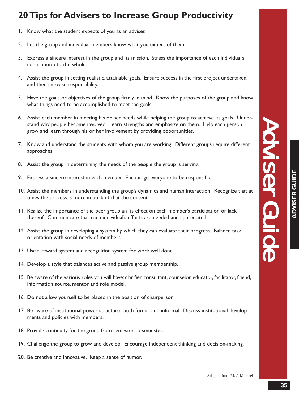## **20 Tips for Advisers to Increase Group Productivity**

- 1. Know what the student expects of you as an adviser.
- 2. Let the group and individual members know what you expect of them.
- 3. Express a sincere interest in the group and its mission. Stress the importance of each individual's contribution to the whole.
- 4. Assist the group in setting realistic, attainable goals. Ensure success in the first project undertaken, and then increase responsibility.
- 5. Have the goals or objectives of the group firmly in mind. Know the purposes of the group and know what things need to be accomplished to meet the goals.
- 6. Assist each member in meeting his or her needs while helping the group to achieve its goals. Understand why people become involved. Learn strengths and emphasize on them. Help each person grow and learn through his or her involvement by providing opportunities.
- 7. Know and understand the students with whom you are working. Different groups require different approaches.
- 8. Assist the group in determining the needs of the people the group is serving.
- 9. Express a sincere interest in each member. Encourage everyone to be responsible.
- 10. Assist the members in understanding the group's dynamics and human interaction. Recognize that at times the process is more important that the content.
- 11. Realize the importance of the peer group an its effect on each member's participation or lack thereof. Communicate that each individual's efforts are needed and appreciated.
- 12. Assist the group in developing a system by which they can evaluate their progress. Balance task orientation with social needs of members.
- 13. Use a reward system and recognition system for work well done.
- 14. Develop a style that balances active and passive group membership.
- 15. Be aware of the various roles you will have: clarifier, consultant, counselor, educator, facilitator, friend, information source, mentor and role model.
- 16. Do not allow yourself to be placed in the position of chairperson.
- 17. Be aware of institutional power structure--both formal and informal. Discuss institutional developments and policies with members.
- 18. Provide continuity for the group from semester to semester.
- 19. Challenge the group to grow and develop. Encourage independent thinking and decision-making.
- 20. Be creative and innovative. Keep a sense of humor.

Adviser Guide Adviser Guide Adviser Guide

**Ac vissive Guld** 

Adapted from M. J. Michael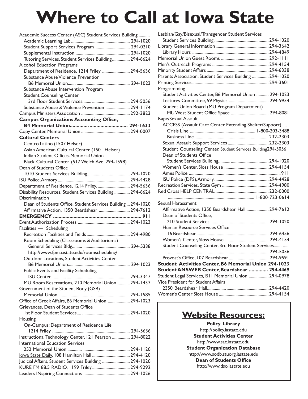# **Where to Call at Iowa State**

| Academic Success Center (ASC) Student Services Building      |          |
|--------------------------------------------------------------|----------|
|                                                              |          |
| Student Support Services Program  294-0210                   |          |
|                                                              |          |
| Tutoring Services, Student Services Building 294-6624        |          |
| Alcohol Education Programs                                   |          |
| Department of Residence, 1214 Friley  294-5636               |          |
| Substance Abuse Violence Prevention                          |          |
|                                                              |          |
| Substance Abuse Intervention Program                         |          |
| <b>Student Counseling Center</b>                             |          |
|                                                              |          |
| Substance Abuse & Violence Prevention  294-1174              |          |
|                                                              |          |
| <b>Campus Organizations Accounting Office,</b>               |          |
|                                                              |          |
|                                                              |          |
| <b>Cultural Centers</b>                                      |          |
| Centro Latino (1507 Helser)                                  |          |
| Asian American Cultural Center (1501 Helser)                 |          |
| Indian Student Offices-Memorial Union                        |          |
| Black Cultural Center (517 Welch Ave. 294-1598)              |          |
| Dean of Students Office                                      |          |
|                                                              |          |
|                                                              |          |
| Department of Residence, 1214 Friley.  294-5636              |          |
| Disability Resources, Student Services Building  294-6624    |          |
| Discrimination                                               |          |
| Dean of Students Office, Student Services Building  294-1020 |          |
| Affirmative Action, 1350 Beardshear  294-7612                |          |
|                                                              |          |
|                                                              |          |
| Facilities - Scheduling<br>Recreation Facilities and Fields  | 294-4980 |
|                                                              |          |
| Room Scheduling (Classrooms & Auditoriums)                   |          |
| http://www.fpm.iastate.edu/roomscheduling/                   |          |
| Outdoor Locations, Student Activities Center                 |          |
|                                                              |          |
| Public Events and Facility Scheduling                        |          |
|                                                              |          |
| MU Room Reservations, 210 Memorial Union  294-1437           |          |
| Government of the Student Body (GSB)                         |          |
|                                                              |          |
| Office of Greek Affairs, B6 Memorial Union  294-1023         |          |
| Grievances, Dean of Students Office                          |          |
|                                                              |          |
| Housing                                                      |          |
| On-Campus: Department of Residence Life                      |          |
|                                                              |          |
| Instructional Technology Center, 121 Pearson  294-8022       |          |
| <b>International Education Services</b>                      |          |
|                                                              |          |
|                                                              |          |
| Judicial Affairs, Student Services Building  294-1020        |          |
| KURE FM 88.5 RADIO, 1199 Friley 294-9292                     |          |
|                                                              |          |

| Lesbian/Gay/Bisexual/Transgender Student Services            |  |
|--------------------------------------------------------------|--|
|                                                              |  |
|                                                              |  |
|                                                              |  |
|                                                              |  |
|                                                              |  |
|                                                              |  |
| Parents Association, Student Services Building  294-1020     |  |
|                                                              |  |
| Programming                                                  |  |
| Student Activities Center, B6 Memorial Union  294-1023       |  |
|                                                              |  |
| Student Union Board (MU Program Department)                  |  |
| MU West Student Office Space  294-8081                       |  |
| Rape/Sexual Assault                                          |  |
| ACCESS (Assault Care Center Extending Shelter/Support)       |  |
|                                                              |  |
|                                                              |  |
|                                                              |  |
| Student Counseling Center, Student Services Building294-5056 |  |
| Dean of Students Office                                      |  |
|                                                              |  |
|                                                              |  |
|                                                              |  |
|                                                              |  |
|                                                              |  |
|                                                              |  |
|                                                              |  |
|                                                              |  |
| Sexual Harassment                                            |  |
| Affirmative Action, 1350 Beardshear Hall  294-7612           |  |
| Dean of Students Office,                                     |  |
|                                                              |  |
| Human Resource Services Office                               |  |
|                                                              |  |
|                                                              |  |
| Student Counseling Center, 3rd Floor Student Services        |  |
|                                                              |  |
|                                                              |  |
| Student Activities Center, B6 Memorial Union 294-1023        |  |
| Student ANSWER Center, Beardshear  294-4469                  |  |
| Student Legal Services, B11 Memorial Union  294-0978         |  |
| Vice President for Student Affairs                           |  |
|                                                              |  |
|                                                              |  |
|                                                              |  |

## **Website Resources:**

**Policy Library** http://policy.iastate.edu **Student Activities Center** http://www.sac.iastate.edu **Student Organization Database** http://www.sodb.stuorg.iastate.edu **Dean of Students Office** http://www.dso.iastate.edu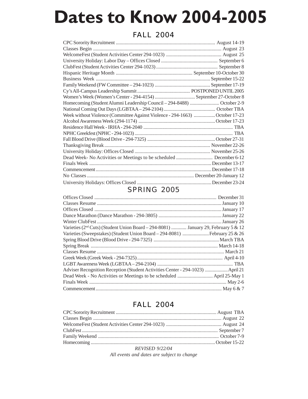# **Dates to Know 2004-2005**

## FALL 2004

| Homecoming (Student Alumni Leadership Council – 294-8488)  October 2-9      |  |
|-----------------------------------------------------------------------------|--|
|                                                                             |  |
| Week without Violence (Committee Against Violence - 294-1663) October 17-23 |  |
|                                                                             |  |
|                                                                             |  |
|                                                                             |  |
|                                                                             |  |
|                                                                             |  |
|                                                                             |  |
|                                                                             |  |
|                                                                             |  |
|                                                                             |  |
|                                                                             |  |
|                                                                             |  |

## SPRING 2005

| Varieties (2 <sup>nd</sup> Cuts) (Student Union Board - 294-8081)  January 29, February 5 & 12 |  |
|------------------------------------------------------------------------------------------------|--|
|                                                                                                |  |
|                                                                                                |  |
|                                                                                                |  |
|                                                                                                |  |
|                                                                                                |  |
|                                                                                                |  |
| Adviser Recognition Reception (Student Activities Center - 294-1023)  April 21                 |  |
|                                                                                                |  |
|                                                                                                |  |
|                                                                                                |  |

## FALL 2004

| $D$ $EVI$ $EED$ $0/22/04$ |  |  |
|---------------------------|--|--|

*REVISED 9/22/04 All events and dates are subject to change*